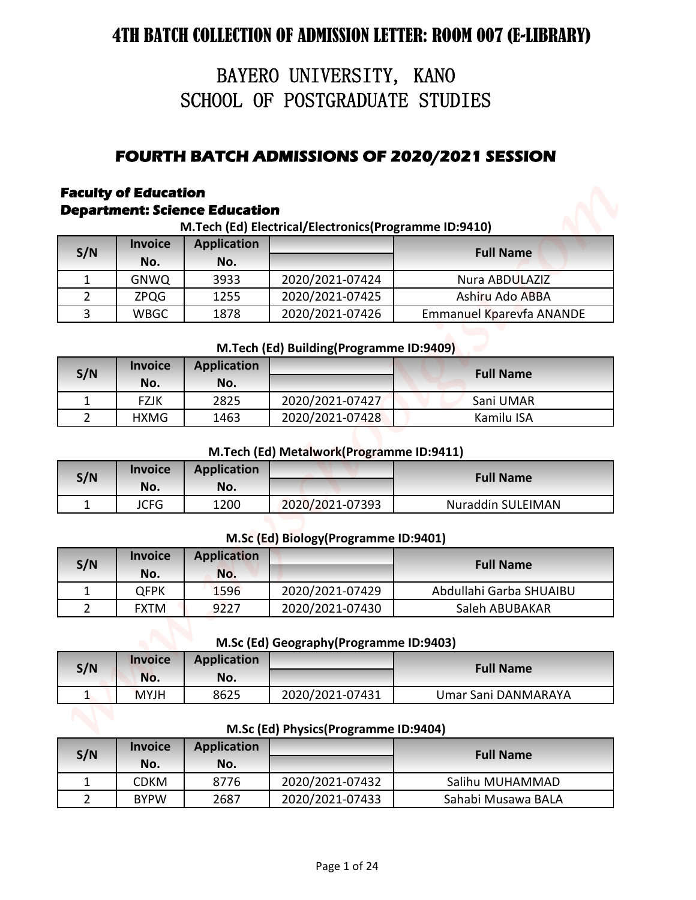# BAYERO UNIVERSITY, KANO SCHOOL OF POSTGRADUATE STUDIES

# **FOURTH BATCH ADMISSIONS OF 2020/2021 SESSION**

# **Faculty of Education**

### **Department: Science Education**

|                |                             |                                      | BAYERO UNIVERSITY, KANO                               |                                                     |
|----------------|-----------------------------|--------------------------------------|-------------------------------------------------------|-----------------------------------------------------|
|                |                             |                                      | SCHOOL OF POSTGRADUATE STUDIES                        |                                                     |
|                |                             |                                      |                                                       |                                                     |
|                |                             |                                      |                                                       |                                                     |
|                |                             |                                      |                                                       | <b>FOURTH BATCH ADMISSIONS OF 2020/2021 SESSION</b> |
|                | <b>Faculty of Education</b> |                                      |                                                       |                                                     |
|                |                             | <b>Department: Science Education</b> |                                                       |                                                     |
|                | <b>Invoice</b>              |                                      | M.Tech (Ed) Electrical/Electronics(Programme ID:9410) |                                                     |
| S/N            | No.                         | <b>Application</b><br>No.            |                                                       | <b>Full Name</b>                                    |
| $\mathbf{1}$   | <b>GNWQ</b>                 | 3933                                 | 2020/2021-07424                                       | Nura ABDULAZIZ                                      |
| $\overline{2}$ | <b>ZPQG</b>                 | 1255                                 | 2020/2021-07425                                       | Ashiru Ado ABBA                                     |
| $\overline{3}$ | <b>WBGC</b>                 | 1878                                 | 2020/2021-07426                                       | <b>Emmanuel Kparevfa ANANDE</b>                     |
|                |                             |                                      |                                                       |                                                     |
|                |                             |                                      | M.Tech (Ed) Building(Programme ID:9409)               |                                                     |
| S/N            | <b>Invoice</b><br>No.       | <b>Application</b><br>No.            |                                                       | <b>Full Name</b>                                    |
| $\mathbf{1}$   | <b>FZJK</b>                 | 2825                                 | 2020/2021-07427                                       | Sani UMAR                                           |
| $\overline{2}$ | <b>HXMG</b>                 | 1463                                 | 2020/2021-07428                                       | Kamilu ISA                                          |
|                | <b>Invoice</b>              | <b>Application</b>                   | M.Tech (Ed) Metalwork(Programme ID:9411)              |                                                     |
| S/N            | No.                         | No.                                  |                                                       | <b>Full Name</b>                                    |
| $\mathbf{1}$   | <b>JCFG</b>                 | 1200                                 | 2020/2021-07393                                       | <b>Nuraddin SULEIMAN</b>                            |
|                |                             |                                      | M.Sc (Ed) Biology (Programme ID:9401)                 |                                                     |
|                | <b>Invoice</b>              | <b>Application</b>                   |                                                       |                                                     |
| S/N            | No.                         | No.                                  |                                                       | <b>Full Name</b>                                    |
| $\mathbf{1}$   | <b>QFPK</b>                 | 1596                                 | 2020/2021-07429                                       | Abdullahi Garba SHUAIBU                             |
| $\overline{2}$ | <b>FXTM</b>                 | 9227                                 | 2020/2021-07430                                       | Saleh ABUBAKAR                                      |
|                |                             |                                      | M.Sc (Ed) Geography (Programme ID:9403)               |                                                     |
|                | <b>Invoice</b>              | <b>Application</b>                   |                                                       |                                                     |
| S/N            | No.                         | No.                                  |                                                       | <b>Full Name</b>                                    |
| $\mathbf{1}$   | <b>MYJH</b>                 | 8625                                 | 2020/2021-07431                                       | Umar Sani DANMARAYA                                 |
|                |                             |                                      |                                                       |                                                     |
|                | <b>Invoice</b>              |                                      | M.Sc (Ed) Physics(Programme ID:9404)                  |                                                     |
| S/N            | No.                         | <b>Application</b><br>No.            |                                                       | <b>Full Name</b>                                    |
|                | <b>CDKM</b>                 | 8776                                 | 2020/2021-07432                                       | Salihu MUHAMMAD                                     |
| $\mathbf{1}$   |                             |                                      |                                                       |                                                     |

**M.Tech (Ed) Building(Programme ID:9409)**

| S/N | <b>Invoice</b> | <b>Application</b> |                 | <b>Full Name</b> |
|-----|----------------|--------------------|-----------------|------------------|
|     | No.            | No.                |                 |                  |
|     | <b>FZJK</b>    | 2825               | 2020/2021-07427 | Sani UMAR        |
|     | <b>HXMG</b>    | 1463               | 2020/2021-07428 | Kamilu ISA       |

#### **M.Tech (Ed) Metalwork(Programme ID:9411)**

| S/N | <b>Invoice</b><br>No. | <b>Application</b><br>No. |                 | <b>Full Name</b>         |
|-----|-----------------------|---------------------------|-----------------|--------------------------|
|     | <b>JCFG</b>           | 1200                      | 2020/2021-07393 | <b>Nuraddin SULEIMAN</b> |

#### **M.Sc (Ed) Biology(Programme ID:9401)**

| S/N | <b>Invoice</b><br>No. | <b>Application</b><br>No. |                 | <b>Full Name</b>        |
|-----|-----------------------|---------------------------|-----------------|-------------------------|
|     | OFPK                  | 1596                      | 2020/2021-07429 | Abdullahi Garba SHUAIBU |
|     | <b>FXTM</b>           | 9227                      | 2020/2021-07430 | Saleh ABUBAKAR          |

**M.Sc (Ed) Geography(Programme ID:9403)**

| S/N | <b>Invoice</b><br>No. | <b>Application</b><br>No. |                 | <b>Full Name</b>    |
|-----|-----------------------|---------------------------|-----------------|---------------------|
|     | <b>MYJH</b>           | 8625                      | 2020/2021-07431 | Umar Sani DANMARAYA |

| ,,,,,,, |  |
|---------|--|
|         |  |
|         |  |
|         |  |
|         |  |
|         |  |

#### **M.Sc (Ed) Physics(Programme ID:9404)**

| S/N | <b>Invoice</b><br>No. | <b>Application</b><br>No. |                 | <b>Full Name</b>   |
|-----|-----------------------|---------------------------|-----------------|--------------------|
|     | <b>CDKM</b>           | 8776                      | 2020/2021-07432 | Salihu MUHAMMAD    |
|     | <b>BYPW</b>           | 2687                      | 2020/2021-07433 | Sahabi Musawa BALA |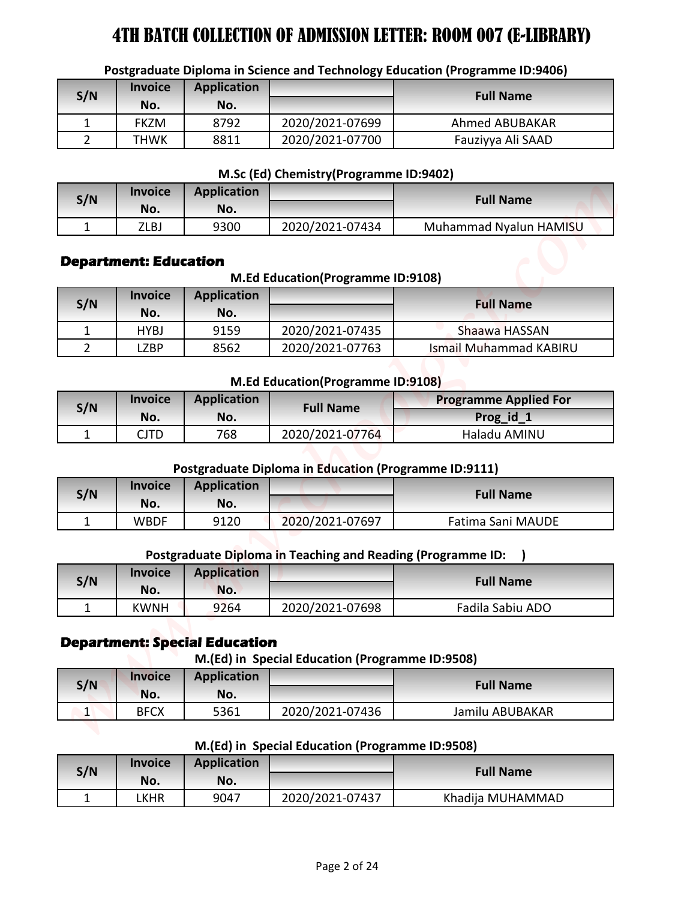|                |                                                |                                      |                                                              | Postgraduate Diploma in Science and Technology Education (Programme ID:9406) |
|----------------|------------------------------------------------|--------------------------------------|--------------------------------------------------------------|------------------------------------------------------------------------------|
| S/N            | <b>Invoice</b>                                 | <b>Application</b>                   |                                                              | <b>Full Name</b>                                                             |
|                | No.                                            | No.                                  |                                                              |                                                                              |
| $\mathbf{1}$   | <b>FKZM</b>                                    | 8792                                 | 2020/2021-07699                                              | Ahmed ABUBAKAR                                                               |
| $\overline{2}$ | THWK                                           | 8811                                 | 2020/2021-07700                                              | Fauziyya Ali SAAD                                                            |
|                |                                                |                                      | M.Sc (Ed) Chemistry (Programme ID:9402)                      |                                                                              |
|                | <b>Invoice</b>                                 | <b>Application</b>                   |                                                              |                                                                              |
| S/N            | No.                                            | No.                                  |                                                              | <b>Full Name</b>                                                             |
| $\mathbf{1}$   | ZLBJ                                           | 9300                                 | 2020/2021-07434                                              | Muhammad Nyalun HAMISU                                                       |
|                | <b>Department: Education</b><br><b>Invoice</b> | <b>Application</b>                   | M.Ed Education(Programme ID:9108)                            |                                                                              |
| S/N            | No.                                            | No.                                  |                                                              | <b>Full Name</b>                                                             |
| 1              | <b>HYBJ</b>                                    | 9159                                 | 2020/2021-07435                                              | Shaawa HASSAN                                                                |
| $\overline{2}$ | <b>LZBP</b>                                    | 8562                                 | 2020/2021-07763                                              | <b>Ismail Muhammad KABIRU</b>                                                |
| S/N            | <b>Invoice</b><br>No.                          | <b>Application</b><br>No.            | M.Ed Education(Programme ID:9108)<br><b>Full Name</b>        | <b>Programme Applied For</b><br>Prog_id_1                                    |
| $\mathbf{1}$   | <b>CJTD</b>                                    | 768                                  | 2020/2021-07764                                              | Haladu AMINU                                                                 |
|                | <b>Invoice</b>                                 | <b>Application</b>                   | <b>Postgraduate Diploma in Education (Programme ID:9111)</b> |                                                                              |
| S/N            | No.                                            | No.                                  |                                                              | <b>Full Name</b>                                                             |
| $\mathbf{1}$   | <b>WBDF</b>                                    | 9120                                 | 2020/2021-07697                                              | Fatima Sani MAUDE                                                            |
|                | <b>Invoice</b>                                 | <b>Application</b>                   | Postgraduate Diploma in Teaching and Reading (Programme ID:  |                                                                              |
| S/N            | No.                                            | No.                                  |                                                              | <b>Full Name</b>                                                             |
| $\mathbf{1}$   | <b>KWNH</b>                                    | 9264                                 | 2020/2021-07698                                              | Fadila Sabiu ADO                                                             |
|                |                                                | <b>Department: Special Education</b> | M.(Ed) in Special Education (Programme ID:9508)              |                                                                              |
|                | <b>Invoice</b>                                 | <b>Application</b>                   |                                                              | <b>Full Name</b>                                                             |
| S/N            | No.                                            | No.                                  |                                                              |                                                                              |
|                |                                                | 5361                                 | 2020/2021-07436                                              | Jamilu ABUBAKAR                                                              |
| $\vert$ 1      | <b>BFCX</b>                                    |                                      |                                                              |                                                                              |
|                |                                                |                                      | M.(Ed) in Special Education (Programme ID:9508)              |                                                                              |
|                | <b>Invoice</b>                                 | <b>Application</b>                   |                                                              |                                                                              |
| S/N            | No.                                            | No.                                  |                                                              | <b>Full Name</b>                                                             |

### **Postgraduate Diploma in Science and Technology Education (Programme ID:9406)**

#### **M.Sc (Ed) Chemistry(Programme ID:9402)**

| S/N | <i><b>Invoice</b></i> | <b>Application</b> |                 | <b>Full Name</b>       |
|-----|-----------------------|--------------------|-----------------|------------------------|
|     | No.                   | No.                |                 |                        |
|     | ZLBJ                  | 9300               | 2020/2021-07434 | Muhammad Nyalun HAMISU |

### **Department: Education**

#### **M.Ed Education(Programme ID:9108)**

| S/N | <b>Invoice</b><br>No. | <b>Application</b><br>No. |                 | <b>Full Name</b>       |
|-----|-----------------------|---------------------------|-----------------|------------------------|
|     | <b>HYBJ</b>           | 9159                      | 2020/2021-07435 | Shaawa HASSAN          |
|     | LZBP                  | 8562                      | 2020/2021-07763 | Ismail Muhammad KABIRU |

#### **M.Ed Education(Programme ID:9108)**

| <b>Application</b><br><b>Invoice</b><br>S/N |      | <b>Full Name</b> | <b>Programme Applied For</b> |              |
|---------------------------------------------|------|------------------|------------------------------|--------------|
|                                             | No.  | No.              |                              | Prog_id_1    |
|                                             | CJTD | 768              | 2020/2021-07764              | Haladu AMINU |

#### **Postgraduate Diploma in Education (Programme ID:9111)**

| S/N | <b>Invoice</b><br>No. | <b>Application</b><br>No. |                 | <b>Full Name</b>  |
|-----|-----------------------|---------------------------|-----------------|-------------------|
|     | WBDF                  | 9120                      | 2020/2021-07697 | Fatima Sani MAUDE |

#### **Postgraduate Diploma in Teaching and Reading (Programme ID: )**

| S/N | <b>Invoice</b><br>No. | <b>Application</b><br>No. |                 | <b>Full Name</b> |
|-----|-----------------------|---------------------------|-----------------|------------------|
| -   | <b>KWNH</b>           | 9264                      | 2020/2021-07698 | Fadila Sabiu ADO |

### **Department: Special Education**

**M.(Ed) in Special Education (Programme ID:9508)**

| S/N | <b>Invoice</b><br>No. | <b>Application</b><br>No. |                 | <b>Full Name</b> |
|-----|-----------------------|---------------------------|-----------------|------------------|
| -   | <b>BFCX</b>           | 5361                      | 2020/2021-07436 | Jamilu ABUBAKAR  |

#### **M.(Ed) in Special Education (Programme ID:9508)**

| S/N | <b>Invoice</b> | <b>Application</b> |                 | <b>Full Name</b> |
|-----|----------------|--------------------|-----------------|------------------|
|     | No.            | No.                |                 |                  |
|     | _KHR           | 9047               | 2020/2021-07437 | Khadija MUHAMMAD |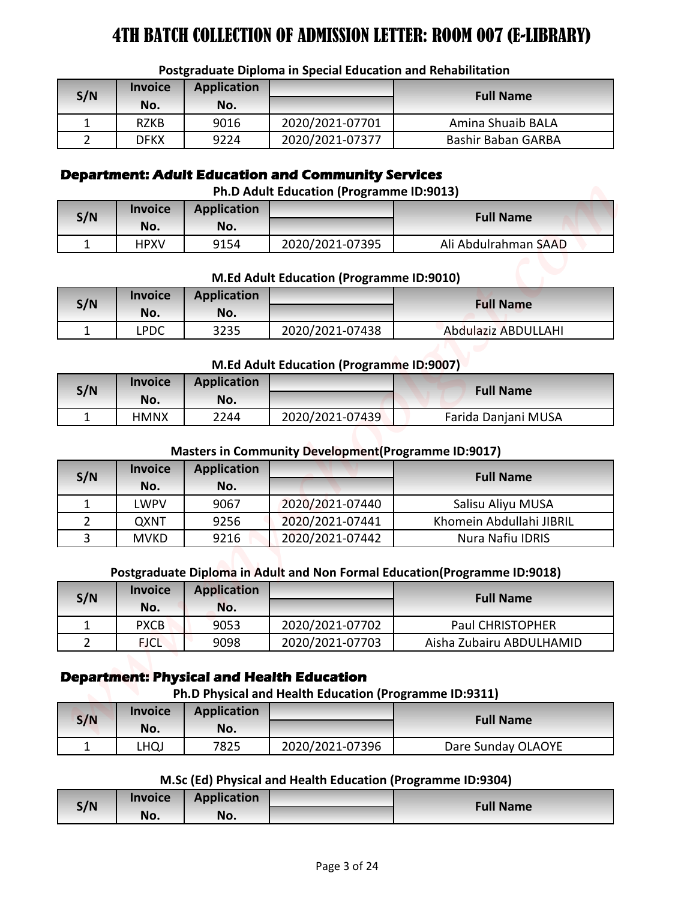| S/N | <b>Invoice</b><br>No. | <b>Application</b><br>No. |                 | <b>Full Name</b>          |  |  |
|-----|-----------------------|---------------------------|-----------------|---------------------------|--|--|
|     | <b>RZKB</b>           | 9016                      | 2020/2021-07701 | Amina Shuaib BALA         |  |  |
|     | DFKX                  | 9224                      | 2020/2021-07377 | <b>Bashir Baban GARBA</b> |  |  |

#### **Postgraduate Diploma in Special Education and Rehabilitation**

#### **Department: Adult Education and Community Services**

| S/N | <b>Invoice</b><br>No. | <b>Application</b><br>No. |                 | <b>Full Name</b>     |
|-----|-----------------------|---------------------------|-----------------|----------------------|
|     | <b>HPXV</b>           | 9154                      | 2020/2021-07395 | Ali Abdulrahman SAAD |

#### **M.Ed Adult Education (Programme ID:9010)**

| S/N | <b>Invoice</b><br>No. | <b>Application</b><br>No. |                 | <b>Full Name</b>    |
|-----|-----------------------|---------------------------|-----------------|---------------------|
|     | LPDC                  | 3235                      | 2020/2021-07438 | Abdulaziz ABDULLAHI |

#### **M.Ed Adult Education (Programme ID:9007)**

| S/N | <b>Invoice</b><br>No. | <b>Application</b><br>No. |                 | <b>Full Name</b>    |
|-----|-----------------------|---------------------------|-----------------|---------------------|
|     | HMNX                  | 2244                      | 2020/2021-07439 | Farida Danjani MUSA |

#### **Masters in Community Development(Programme ID:9017)**

|                |                       |                           | Postgraduate Diploma in Special Education and Rehabilitation                                               |                                                                           |
|----------------|-----------------------|---------------------------|------------------------------------------------------------------------------------------------------------|---------------------------------------------------------------------------|
| S/N            | <b>Invoice</b>        | <b>Application</b>        |                                                                                                            | <b>Full Name</b>                                                          |
|                | No.                   | No.                       |                                                                                                            |                                                                           |
| $\mathbf{1}$   | <b>RZKB</b>           | 9016                      | 2020/2021-07701                                                                                            | Amina Shuaib BALA                                                         |
| $\overline{2}$ | <b>DFKX</b>           | 9224                      | 2020/2021-07377                                                                                            | Bashir Baban GARBA                                                        |
|                |                       |                           | <b>Department: Adult Education and Community Services</b><br>Ph.D Adult Education (Programme ID:9013)      |                                                                           |
| S/N            | <b>Invoice</b>        | <b>Application</b>        |                                                                                                            | <b>Full Name</b>                                                          |
|                | No.                   | No.                       |                                                                                                            |                                                                           |
| $\mathbf{1}$   | <b>HPXV</b>           | 9154                      | 2020/2021-07395                                                                                            | Ali Abdulrahman SAAD                                                      |
|                |                       |                           | M.Ed Adult Education (Programme ID:9010)                                                                   |                                                                           |
| S/N            | <b>Invoice</b>        | <b>Application</b>        |                                                                                                            | <b>Full Name</b>                                                          |
|                | No.                   | No.                       |                                                                                                            |                                                                           |
| $\mathbf{1}$   | <b>LPDC</b>           | 3235                      | 2020/2021-07438                                                                                            | <b>Abdulaziz ABDULLAHI</b>                                                |
|                |                       |                           | M.Ed Adult Education (Programme ID:9007)                                                                   |                                                                           |
| S/N            | <b>Invoice</b><br>No. | <b>Application</b><br>No. |                                                                                                            | <b>Full Name</b>                                                          |
| $\mathbf{1}$   | <b>HMNX</b>           | 2244                      | 2020/2021-07439                                                                                            | Farida Danjani MUSA                                                       |
| S/N            | <b>Invoice</b><br>No. | <b>Application</b><br>No. | <b>Masters in Community Development (Programme ID:9017)</b>                                                | <b>Full Name</b>                                                          |
| $\mathbf{1}$   | <b>LWPV</b>           | 9067                      | 2020/2021-07440                                                                                            | Salisu Aliyu MUSA                                                         |
| $\overline{2}$ | QXNT                  | 9256                      | 2020/2021-07441                                                                                            | Khomein Abdullahi JIBRIL                                                  |
| $\overline{3}$ | <b>MVKD</b>           | 9216                      | 2020/2021-07442                                                                                            | Nura Nafiu IDRIS                                                          |
|                |                       |                           |                                                                                                            | Postgraduate Diploma in Adult and Non Formal Education(Programme ID:9018) |
| S/N            | <b>Invoice</b><br>No. | <b>Application</b><br>No. |                                                                                                            | <b>Full Name</b>                                                          |
| $\mathbf{1}$   | <b>PXCB</b>           | 9053                      | 2020/2021-07702                                                                                            | Paul CHRISTOPHER                                                          |
| $\overline{2}$ | <b>FJCL</b>           | 9098                      | 2020/2021-07703                                                                                            | Aisha Zubairu ABDULHAMID                                                  |
|                |                       |                           | <b>Department: Physical and Health Education</b><br>Ph.D Physical and Health Education (Programme ID:9311) |                                                                           |
| S/N            | <b>Invoice</b><br>No. | <b>Application</b><br>No. |                                                                                                            | <b>Full Name</b>                                                          |
| $\mathbf{1}$   | <b>LHQJ</b>           | 7825                      | 2020/2021-07396                                                                                            | Dare Sunday OLAOYE                                                        |
|                |                       |                           | M.Sc (Ed) Physical and Health Education (Programme ID:9304)                                                |                                                                           |
|                | Invoice               | <b>Application</b>        |                                                                                                            |                                                                           |
| S/N            | No.                   | No.                       |                                                                                                            | <b>Full Name</b>                                                          |

#### **Postgraduate Diploma in Adult and Non Formal Education(Programme ID:9018)**

| S/N | <b>Invoice</b><br>No. | <b>Application</b><br>No. |                 | <b>Full Name</b>         |
|-----|-----------------------|---------------------------|-----------------|--------------------------|
|     | <b>PXCB</b>           | 9053                      | 2020/2021-07702 | <b>Paul CHRISTOPHER</b>  |
|     | <b>FJCL</b>           | 9098                      | 2020/2021-07703 | Aisha Zubairu ABDULHAMID |

### **Department: Physical and Health Education**

#### **Ph.D Physical and Health Education (Programme ID:9311)**

| S/N | <b>Invoice</b><br>No. | <b>Application</b><br>No. |                 | <b>Full Name</b>   |
|-----|-----------------------|---------------------------|-----------------|--------------------|
|     | <b>LHQJ</b>           | 7825                      | 2020/2021-07396 | Dare Sunday OLAOYE |

#### **M.Sc (Ed) Physical and Health Education (Programme ID:9304)**

| S/N | <b>Invoice</b> | <b>Application</b> | <b>Full Name</b> |
|-----|----------------|--------------------|------------------|
|     | No.            | No.                |                  |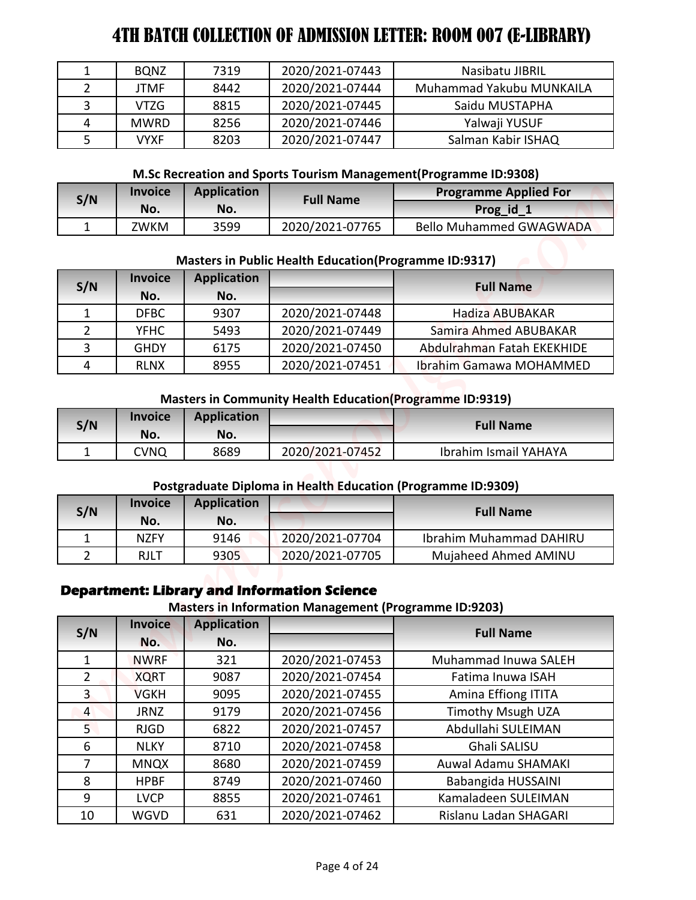|   | <b>BQNZ</b> | 7319 | 2020/2021-07443 | Nasibatu JIBRIL          |
|---|-------------|------|-----------------|--------------------------|
|   | JTMF        | 8442 | 2020/2021-07444 | Muhammad Yakubu MUNKAILA |
|   | VTZG        | 8815 | 2020/2021-07445 | Saidu MUSTAPHA           |
| 4 | <b>MWRD</b> | 8256 | 2020/2021-07446 | Yalwaji YUSUF            |
|   | VYXF        | 8203 | 2020/2021-07447 | Salman Kabir ISHAQ       |

#### **M.Sc Recreation and Sports Tourism Management(Programme ID:9308)**

| S/N | <b>Application</b><br><b>Invoice</b><br><b>Full Name</b> |      | <b>Programme Applied For</b> |                                |
|-----|----------------------------------------------------------|------|------------------------------|--------------------------------|
|     | No.                                                      | No.  |                              | Prog_id_                       |
|     | 7WKM                                                     | 3599 | 2020/2021-07765              | <b>Bello Muhammed GWAGWADA</b> |

#### **Masters in Public Health Education(Programme ID:9317)**

| S/N | <b>Invoice</b> | <b>Application</b> |                 | <b>Full Name</b>           |  |
|-----|----------------|--------------------|-----------------|----------------------------|--|
|     | No.            | No.                |                 |                            |  |
|     | <b>DFBC</b>    | 9307               | 2020/2021-07448 | <b>Hadiza ABUBAKAR</b>     |  |
|     | <b>YFHC</b>    | 5493               | 2020/2021-07449 | Samira Ahmed ABUBAKAR      |  |
| २   | <b>GHDY</b>    | 6175               | 2020/2021-07450 | Abdulrahman Fatah EKEKHIDE |  |
|     | <b>RLNX</b>    | 8955               | 2020/2021-07451 | Ibrahim Gamawa MOHAMMED    |  |

#### **Masters in Community Health Education(Programme ID:9319)**

| S/N | <b>Invoice</b><br>No. | <b>Application</b><br>No. |                 | <b>Full Name</b>      |
|-----|-----------------------|---------------------------|-----------------|-----------------------|
|     | CVNQ                  | 8689                      | 2020/2021-07452 | Ibrahim Ismail YAHAYA |

#### **Postgraduate Diploma in Health Education (Programme ID:9309)**

| S/N | <b>Invoice</b><br>No. | <b>Application</b><br>No. |                 | <b>Full Name</b>        |
|-----|-----------------------|---------------------------|-----------------|-------------------------|
|     | <b>NZFY</b>           | 9146                      | 2020/2021-07704 | Ibrahim Muhammad DAHIRU |
|     | RJLT                  | 9305                      | 2020/2021-07705 | Mujaheed Ahmed AMINU    |

### **Department: Library and Information Science**

#### **Masters in Information Management (Programme ID:9203)**

| $\mathbf{1}$                   | <b>BQNZ</b>                | 7319                      | 2020/2021-07443                                                                                                    | Nasibatu JIBRIL                                                   |
|--------------------------------|----------------------------|---------------------------|--------------------------------------------------------------------------------------------------------------------|-------------------------------------------------------------------|
| $\overline{2}$                 | <b>JTMF</b>                | 8442                      | 2020/2021-07444                                                                                                    | Muhammad Yakubu MUNKAILA                                          |
| 3                              | <b>VTZG</b>                | 8815                      | 2020/2021-07445                                                                                                    | Saidu MUSTAPHA                                                    |
| 4                              | <b>MWRD</b>                | 8256                      | 2020/2021-07446                                                                                                    | Yalwaji YUSUF                                                     |
| 5                              | <b>VYXF</b>                | 8203                      | 2020/2021-07447                                                                                                    | Salman Kabir ISHAQ                                                |
|                                |                            |                           |                                                                                                                    | M.Sc Recreation and Sports Tourism Management (Programme ID:9308) |
|                                | <b>Invoice</b>             | <b>Application</b>        |                                                                                                                    | <b>Programme Applied For</b>                                      |
| S/N                            | No.                        | No.                       | <b>Full Name</b>                                                                                                   | Prog id 1                                                         |
| $\mathbf{1}$                   | ZWKM                       | 3599                      | 2020/2021-07765                                                                                                    | <b>Bello Muhammed GWAGWADA</b>                                    |
| S/N                            | <b>Invoice</b>             | <b>Application</b>        | <b>Masters in Public Health Education (Programme ID:9317)</b>                                                      | <b>Full Name</b>                                                  |
|                                | No.                        | No.                       |                                                                                                                    |                                                                   |
| $\mathbf{1}$                   | <b>DFBC</b>                | 9307                      | 2020/2021-07448                                                                                                    | <b>Hadiza ABUBAKAR</b>                                            |
| $\overline{2}$                 | <b>YFHC</b>                | 5493                      | 2020/2021-07449                                                                                                    | Samira Ahmed ABUBAKAR                                             |
| 3                              | <b>GHDY</b>                | 6175                      | 2020/2021-07450                                                                                                    | Abdulrahman Fatah EKEKHIDE                                        |
| 4                              | <b>RLNX</b>                | 8955                      | 2020/2021-07451                                                                                                    | Ibrahim Gamawa MOHAMMED                                           |
|                                |                            |                           | <b>Masters in Community Health Education (Programme ID:9319)</b>                                                   |                                                                   |
| S/N                            | <b>Invoice</b><br>No.      | <b>Application</b><br>No. |                                                                                                                    | <b>Full Name</b>                                                  |
| $\mathbf{1}$                   | <b>CVNQ</b>                | 8689                      | 2020/2021-07452                                                                                                    | <b>Ibrahim Ismail YAHAYA</b>                                      |
|                                | <b>Invoice</b>             | <b>Application</b>        | Postgraduate Diploma in Health Education (Programme ID:9309)                                                       |                                                                   |
| S/N                            | No.                        | No.                       |                                                                                                                    | <b>Full Name</b>                                                  |
|                                | <b>NZFY</b>                | 9146                      | 2020/2021-07704                                                                                                    | Ibrahim Muhammad DAHIRU                                           |
|                                |                            |                           |                                                                                                                    |                                                                   |
| $\mathbf{1}$<br>$\overline{2}$ | <b>RJLT</b>                | 9305                      | 2020/2021-07705                                                                                                    | Mujaheed Ahmed AMINU                                              |
|                                | <b>Invoice</b>             |                           | <b>Department: Library and Information Science</b><br><b>Masters in Information Management (Programme ID:9203)</b> |                                                                   |
| S/N                            | No.                        | <b>Application</b><br>No. |                                                                                                                    | <b>Full Name</b>                                                  |
| $\mathbf{1}$                   | <b>NWRF</b>                | 321                       | 2020/2021-07453                                                                                                    | Muhammad Inuwa SALEH                                              |
| $\overline{2}$                 | <b>XQRT</b>                | 9087                      | 2020/2021-07454                                                                                                    | Fatima Inuwa ISAH                                                 |
| $\overline{3}$                 | <b>VGKH</b>                | 9095                      | 2020/2021-07455                                                                                                    | Amina Effiong ITITA                                               |
| $\overline{4}$                 | <b>JRNZ</b>                | 9179                      | 2020/2021-07456                                                                                                    | <b>Timothy Msugh UZA</b>                                          |
| 5 <sub>1</sub>                 | <b>RJGD</b>                | 6822                      | 2020/2021-07457                                                                                                    | Abdullahi SULEIMAN                                                |
| 6                              | <b>NLKY</b>                | 8710                      | 2020/2021-07458                                                                                                    | Ghali SALISU                                                      |
| $\overline{7}$                 |                            | 8680                      | 2020/2021-07459                                                                                                    | Auwal Adamu SHAMAKI                                               |
| 8                              | <b>MNQX</b><br><b>HPBF</b> | 8749                      |                                                                                                                    |                                                                   |
| 9                              | <b>LVCP</b>                | 8855                      | 2020/2021-07460<br>2020/2021-07461                                                                                 | Babangida HUSSAINI<br>Kamaladeen SULEIMAN                         |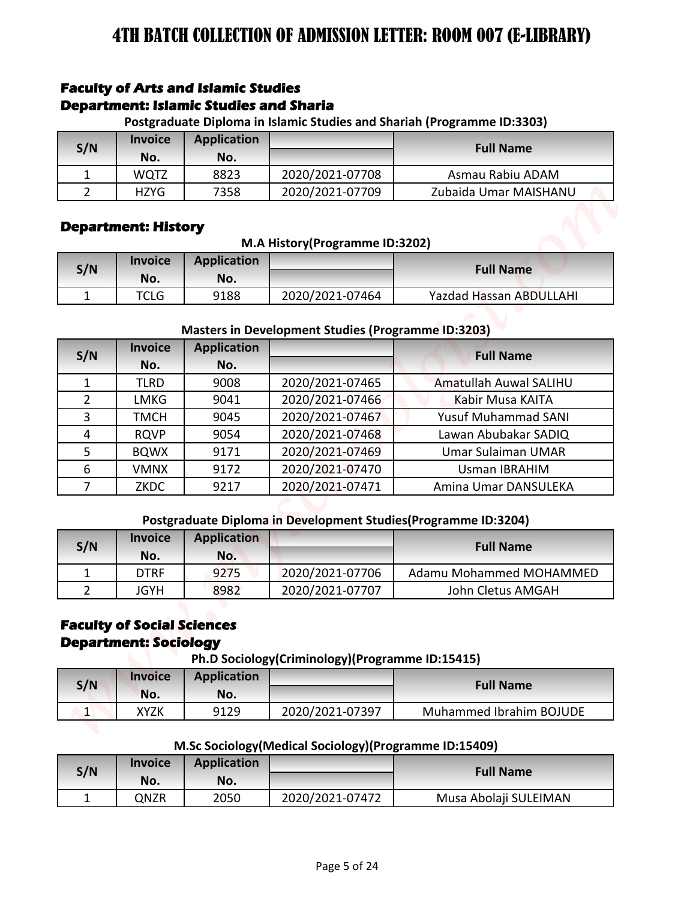### **Faculty of Arts and Islamic Studies Department: Islamic Studies and Sharia**

**Postgraduate Diploma in Islamic Studies and Shariah (Programme ID:3303)**

| S/N | <b>Invoice</b><br>No. | <b>Application</b><br>No. |                 | <b>Full Name</b>      |
|-----|-----------------------|---------------------------|-----------------|-----------------------|
|     | WQTZ                  | 8823                      | 2020/2021-07708 | Asmau Rabiu ADAM      |
|     | <b>HZYG</b>           | 7358                      | 2020/2021-07709 | Zubaida Umar MAISHANU |

#### **Department: History**

#### **M.A History(Programme ID:3202)**

| S/N | <b>Invoice</b><br>No. | <b>Application</b><br>No. |                 | <b>Full Name</b>               |
|-----|-----------------------|---------------------------|-----------------|--------------------------------|
|     | TCLG                  | 9188                      | 2020/2021-07464 | <b>Yazdad Hassan ABDULLAHI</b> |

#### **Masters in Development Studies (Programme ID:3203)**

|                     |                                                                   | <b>Faculty of Arts and Islamic Studies</b>    |                                                           |                                                                         |
|---------------------|-------------------------------------------------------------------|-----------------------------------------------|-----------------------------------------------------------|-------------------------------------------------------------------------|
|                     |                                                                   | <b>Department: Islamic Studies and Sharia</b> |                                                           |                                                                         |
|                     | <b>Invoice</b>                                                    | <b>Application</b>                            |                                                           | Postgraduate Diploma in Islamic Studies and Shariah (Programme ID:3303) |
| S/N                 | No.                                                               | No.                                           |                                                           | <b>Full Name</b>                                                        |
| 1                   | <b>WQTZ</b>                                                       | 8823                                          | 2020/2021-07708                                           | Asmau Rabiu ADAM                                                        |
| $\overline{2}$      | <b>HZYG</b>                                                       | 7358                                          | 2020/2021-07709                                           | Zubaida Umar MAISHANU                                                   |
|                     |                                                                   |                                               |                                                           |                                                                         |
|                     | <b>Department: History</b>                                        |                                               |                                                           |                                                                         |
|                     |                                                                   |                                               | M.A History(Programme ID:3202)                            |                                                                         |
| S/N                 | <b>Invoice</b>                                                    | <b>Application</b>                            |                                                           | <b>Full Name</b>                                                        |
|                     | No.                                                               | No.                                           |                                                           |                                                                         |
| $\mathbf{1}$        | <b>TCLG</b>                                                       | 9188                                          | 2020/2021-07464                                           | Yazdad Hassan ABDULLAHI                                                 |
|                     |                                                                   |                                               |                                                           |                                                                         |
|                     |                                                                   |                                               | <b>Masters in Development Studies (Programme ID:3203)</b> |                                                                         |
| S/N                 | <b>Invoice</b>                                                    | <b>Application</b>                            |                                                           | <b>Full Name</b>                                                        |
|                     | No.                                                               | No.                                           |                                                           |                                                                         |
| $\mathbf{1}$        | <b>TLRD</b>                                                       | 9008                                          | 2020/2021-07465                                           | Amatullah Auwal SALIHU                                                  |
| $\overline{2}$<br>3 | <b>LMKG</b><br><b>TMCH</b>                                        | 9041<br>9045                                  | 2020/2021-07466<br>2020/2021-07467                        | Kabir Musa KAITA<br><b>Yusuf Muhammad SANI</b>                          |
| 4                   | <b>RQVP</b>                                                       | 9054                                          | 2020/2021-07468                                           | Lawan Abubakar SADIQ                                                    |
| 5                   | <b>BQWX</b>                                                       | 9171                                          | 2020/2021-07469                                           | Umar Sulaiman UMAR                                                      |
| 6                   | <b>VMNX</b>                                                       | 9172                                          | 2020/2021-07470                                           | <b>Usman IBRAHIM</b>                                                    |
| 7                   | ZKDC                                                              | 9217                                          | 2020/2021-07471                                           | Amina Umar DANSULEKA                                                    |
|                     |                                                                   |                                               |                                                           |                                                                         |
|                     |                                                                   |                                               |                                                           | Postgraduate Diploma in Development Studies (Programme ID:3204)         |
|                     | <b>Invoice</b>                                                    | <b>Application</b>                            |                                                           | <b>Full Name</b>                                                        |
| S/N                 | No.                                                               | No.                                           |                                                           |                                                                         |
| 1                   | <b>DTRF</b>                                                       | 9275                                          | 2020/2021-07706                                           | Adamu Mohammed MOHAMMED                                                 |
| $2^{\circ}$         | <b>JGYH</b>                                                       | 8982                                          | 2020/2021-07707                                           | John Cletus AMGAH                                                       |
|                     | <b>Faculty of Social Sciences</b><br><b>Department: Sociology</b> |                                               | Ph.D Sociology(Criminology)(Programme ID:15415)           |                                                                         |
| S/N                 | <b>Invoice</b>                                                    | <b>Application</b>                            |                                                           | <b>Full Name</b>                                                        |
|                     | No.                                                               | No.                                           |                                                           |                                                                         |
|                     | <b>XYZK</b>                                                       | 9129                                          | 2020/2021-07397                                           | Muhammed Ibrahim BOJUDE                                                 |
| $\vert$ 1           |                                                                   |                                               |                                                           |                                                                         |
|                     |                                                                   |                                               |                                                           |                                                                         |
|                     |                                                                   |                                               | M.Sc Sociology (Medical Sociology) (Programme ID:15409)   |                                                                         |
| S/N                 | <b>Invoice</b><br>No.                                             | <b>Application</b><br>No.                     |                                                           | <b>Full Name</b>                                                        |

#### **Postgraduate Diploma in Development Studies(Programme ID:3204)**

| S/N | <b>Invoice</b> | <b>Application</b> |                 | <b>Full Name</b>        |  |
|-----|----------------|--------------------|-----------------|-------------------------|--|
|     | No.            | No.                |                 |                         |  |
|     | DTRF           | 9275               | 2020/2021-07706 | Adamu Mohammed MOHAMMED |  |
|     | JGYH           | 8982               | 2020/2021-07707 | John Cletus AMGAH       |  |

### **Faculty of Social Sciences Department: Sociology**

**Ph.D Sociology(Criminology)(Programme ID:15415)**

| S/N | <b>Invoice</b><br>No. | <b>Application</b><br>No. |                 | <b>Full Name</b>        |
|-----|-----------------------|---------------------------|-----------------|-------------------------|
|     | XYZK                  | 9129                      | 2020/2021-07397 | Muhammed Ibrahim BOJUDE |

#### **M.Sc Sociology(Medical Sociology)(Programme ID:15409)**

| S/N | <b>Invoice</b> | <b>Application</b> |                 | <b>Full Name</b>      |
|-----|----------------|--------------------|-----------------|-----------------------|
|     | No.            | No.                |                 |                       |
|     | QNZR           | 2050               | 2020/2021-07472 | Musa Abolaji SULEIMAN |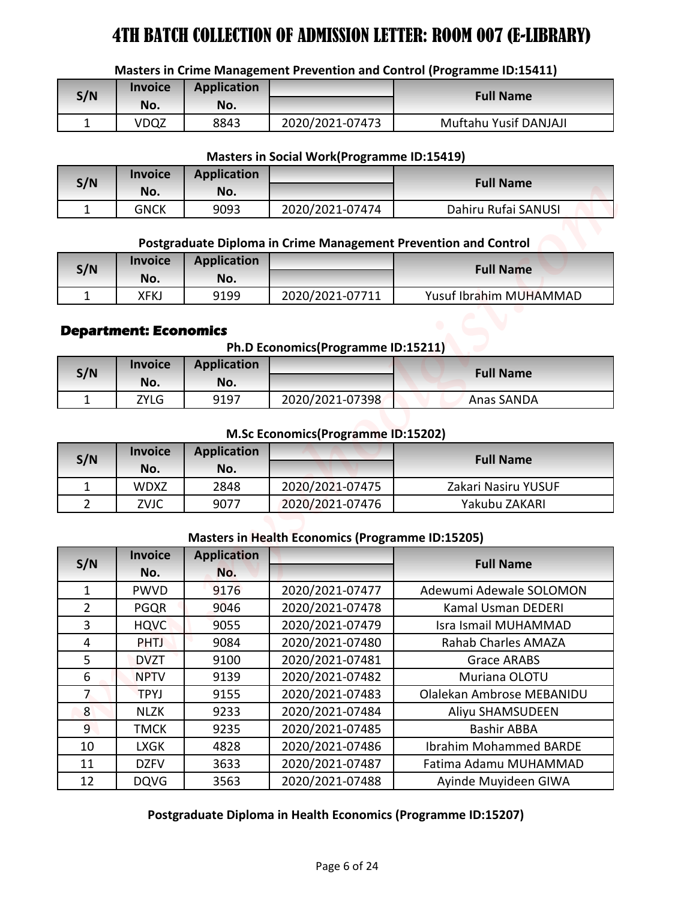#### **Masters in Crime Management Prevention and Control (Programme ID:15411)**

| S/N | <b>Invoice</b><br>No. | <b>Application</b><br>No. |                 | <b>Full Name</b>      |
|-----|-----------------------|---------------------------|-----------------|-----------------------|
|     |                       |                           |                 |                       |
|     | VDQZ                  | 8843                      | 2020/2021-07473 | Muftahu Yusif DANJAJI |

#### **Masters in Social Work(Programme ID:15419)**

| S/N | <b>Invoice</b><br>No. | <b>Application</b><br>No. |                 | <b>Full Name</b>    |
|-----|-----------------------|---------------------------|-----------------|---------------------|
|     | GNCK                  | 9093                      | 2020/2021-07474 | Dahiru Rufai SANUSI |

# **Postgraduate Diploma in Crime Management Prevention and Control**

| S/N | <b>Invoice</b> | <b>Application</b> |                 | <b>Full Name</b>       |
|-----|----------------|--------------------|-----------------|------------------------|
|     | No.            | No.                |                 |                        |
| -   | XFK.           | 9199               | 2020/2021-07711 | Yusuf Ibrahim MUHAMMAD |

#### **Department: Economics**

**Ph.D Economics(Programme ID:15211)**

| S/N | <b>Invoice</b><br>No. | <b>Application</b><br>No. |                 | <b>Full Name</b> |
|-----|-----------------------|---------------------------|-----------------|------------------|
|     | ZYLG                  | 9197                      | 2020/2021-07398 | Anas SANDA       |

#### **M.Sc Economics(Programme ID:15202)**

| S/N | <b>Invoice</b><br>No. | <b>Application</b><br>No. |                 | <b>Full Name</b>    |
|-----|-----------------------|---------------------------|-----------------|---------------------|
|     | <b>WDXZ</b>           | 2848                      | 2020/2021-07475 | Zakari Nasiru YUSUF |
|     | ZVJC                  | 9077                      | 2020/2021-07476 | Yakubu ZAKARI       |

#### **Masters in Health Economics (Programme ID:15205)**

|                       |                            |                    |                                                         | Masters in Crime Management Prevention and Control (Programme ID:15411) |
|-----------------------|----------------------------|--------------------|---------------------------------------------------------|-------------------------------------------------------------------------|
| S/N                   | <b>Invoice</b>             | <b>Application</b> |                                                         | <b>Full Name</b>                                                        |
|                       | No.                        | No.                |                                                         |                                                                         |
| $\mathbf{1}$          | <b>VDQZ</b>                | 8843               | 2020/2021-07473                                         | Muftahu Yusif DANJAJI                                                   |
|                       |                            |                    | <b>Masters in Social Work(Programme ID:15419)</b>       |                                                                         |
| S/N                   | <b>Invoice</b>             | <b>Application</b> |                                                         | <b>Full Name</b>                                                        |
|                       | No.                        | No.                |                                                         |                                                                         |
| 1                     | <b>GNCK</b>                | 9093               | 2020/2021-07474                                         | Dahiru Rufai SANUSI                                                     |
|                       |                            |                    |                                                         | Postgraduate Diploma in Crime Management Prevention and Control         |
|                       | <b>Invoice</b>             | <b>Application</b> |                                                         |                                                                         |
| S/N                   | No.                        | No.                |                                                         | <b>Full Name</b>                                                        |
| $\mathbf{1}$          | <b>XFKJ</b>                | 9199               | 2020/2021-07711                                         | Yusuf Ibrahim MUHAMMAD                                                  |
|                       | No.                        | No.                |                                                         |                                                                         |
| S/N                   | <b>Invoice</b>             | <b>Application</b> |                                                         | <b>Full Name</b>                                                        |
| 1                     | <b>ZYLG</b>                | 9197               | 2020/2021-07398                                         | Anas SANDA                                                              |
|                       |                            |                    | M.Sc Economics(Programme ID:15202)                      |                                                                         |
| S/N                   | <b>Invoice</b>             | <b>Application</b> |                                                         | <b>Full Name</b>                                                        |
|                       | No.                        | No.                |                                                         |                                                                         |
|                       | <b>WDXZ</b>                | 2848               | 2020/2021-07475                                         | Zakari Nasiru YUSUF                                                     |
| 1                     |                            |                    | 2020/2021-07476                                         | Yakubu ZAKARI                                                           |
| $\overline{2}$        | ZVJC                       | 9077               |                                                         |                                                                         |
|                       |                            |                    |                                                         |                                                                         |
|                       | <b>Invoice</b>             | <b>Application</b> | <b>Masters in Health Economics (Programme ID:15205)</b> |                                                                         |
|                       | No.                        | No.                |                                                         | <b>Full Name</b>                                                        |
| 1                     | <b>PWVD</b>                | 9176               | 2020/2021-07477                                         | Adewumi Adewale SOLOMON                                                 |
| $\overline{2}$        | <b>PGQR</b>                | 9046               | 2020/2021-07478                                         | Kamal Usman DEDERI                                                      |
| $\overline{3}$        | <b>HQVC</b>                | 9055               | 2020/2021-07479                                         | Isra Ismail MUHAMMAD                                                    |
| S/N<br>$\overline{4}$ | <b>PHTJ</b>                | 9084               | 2020/2021-07480                                         | Rahab Charles AMAZA                                                     |
| 5                     | <b>DVZT</b>                | 9100               | 2020/2021-07481                                         | <b>Grace ARABS</b>                                                      |
| 6                     | <b>NPTV</b>                | 9139               | 2020/2021-07482                                         | Muriana OLOTU                                                           |
| $\overline{7}$        | <b>TPYJ</b>                | 9155               | 2020/2021-07483                                         | Olalekan Ambrose MEBANIDU                                               |
| 8 <sup>°</sup>        | <b>NLZK</b>                | 9233               | 2020/2021-07484                                         | Aliyu SHAMSUDEEN                                                        |
| 9 <sup>°</sup>        | <b>TMCK</b>                | 9235               | 2020/2021-07485                                         | <b>Bashir ABBA</b>                                                      |
| 10                    | <b>LXGK</b>                | 4828               | 2020/2021-07486                                         | <b>Ibrahim Mohammed BARDE</b>                                           |
| 11<br>12              | <b>DZFV</b><br><b>DQVG</b> | 3633<br>3563       | 2020/2021-07487<br>2020/2021-07488                      | Fatima Adamu MUHAMMAD<br>Ayinde Muyideen GIWA                           |

#### **Postgraduate Diploma in Health Economics (Programme ID:15207)**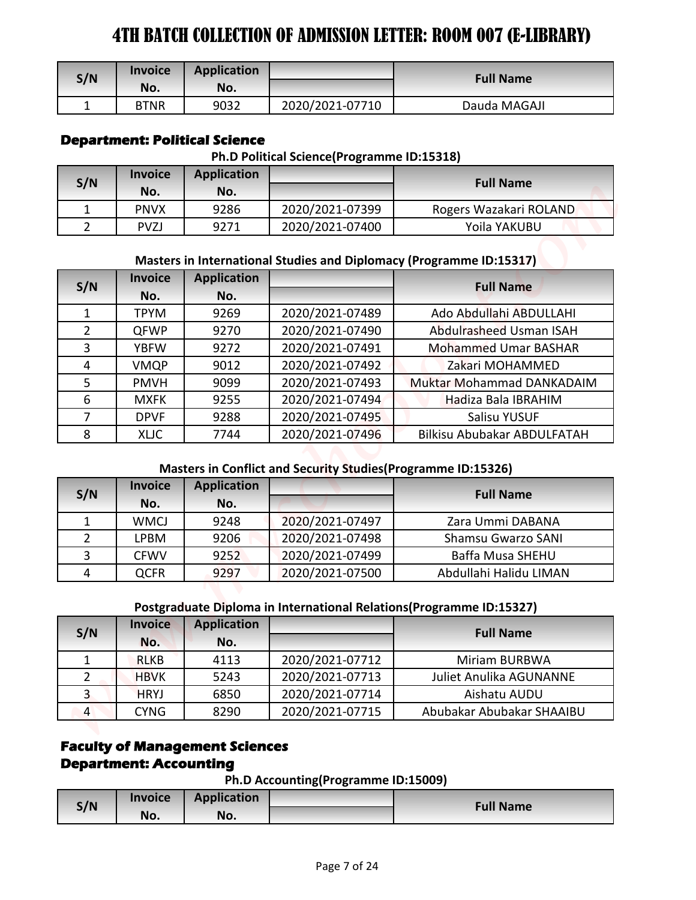| S/N | <b>Invoice</b><br>No. | Application<br>No. |                 | <b>Full Name</b> |
|-----|-----------------------|--------------------|-----------------|------------------|
|     | <b>BTNR</b>           | 9032               | 2020/2021-07710 | Dauda MAGAJI     |

### **Department: Political Science**

#### **Ph.D Political Science(Programme ID:15318)**

| S/N | <b>Invoice</b><br>No. | <b>Application</b><br>No. |                 | <b>Full Name</b>       |
|-----|-----------------------|---------------------------|-----------------|------------------------|
|     | <b>PNVX</b>           | 9286                      | 2020/2021-07399 | Rogers Wazakari ROLAND |
|     | <b>PVZJ</b>           | 9271                      | 2020/2021-07400 | Yoila YAKUBU           |

#### **Masters in International Studies and Diplomacy (Programme ID:15317)**

| S/N            | <b>Invoice</b>                | <b>Application</b>                    |                                                               | <b>Full Name</b>                                                    |
|----------------|-------------------------------|---------------------------------------|---------------------------------------------------------------|---------------------------------------------------------------------|
|                | No.                           | No.                                   |                                                               |                                                                     |
| $\mathbf{1}$   | <b>BTNR</b>                   | 9032                                  | 2020/2021-07710                                               | Dauda MAGAJI                                                        |
|                |                               | <b>Department: Political Science</b>  |                                                               |                                                                     |
|                | <b>Invoice</b>                | <b>Application</b>                    | Ph.D Political Science(Programme ID:15318)                    |                                                                     |
| S/N            | No.                           | No.                                   |                                                               | <b>Full Name</b>                                                    |
| $\mathbf{1}$   | <b>PNVX</b>                   | 9286                                  | 2020/2021-07399                                               | Rogers Wazakari ROLAND                                              |
| $\overline{2}$ | <b>PVZJ</b>                   | 9271                                  | 2020/2021-07400                                               | Yoila YAKUBU                                                        |
|                |                               |                                       |                                                               |                                                                     |
|                |                               |                                       |                                                               | Masters in International Studies and Diplomacy (Programme ID:15317) |
| S/N            | <b>Invoice</b>                | <b>Application</b>                    |                                                               | <b>Full Name</b>                                                    |
|                | No.                           | No.                                   |                                                               |                                                                     |
| $\mathbf{1}$   | <b>TPYM</b>                   | 9269                                  | 2020/2021-07489                                               | Ado Abdullahi ABDULLAHI                                             |
| $\overline{2}$ | <b>QFWP</b>                   | 9270                                  | 2020/2021-07490                                               | Abdulrasheed Usman ISAH                                             |
| 3              | <b>YBFW</b>                   | 9272                                  | 2020/2021-07491                                               | <b>Mohammed Umar BASHAR</b>                                         |
| 4              | <b>VMQP</b>                   | 9012                                  | 2020/2021-07492                                               | Zakari MOHAMMED                                                     |
| 5              | <b>PMVH</b>                   | 9099                                  | 2020/2021-07493                                               | Muktar Mohammad DANKADAIM                                           |
| 6              | <b>MXFK</b>                   | 9255                                  | 2020/2021-07494                                               | Hadiza Bala IBRAHIM                                                 |
| $\overline{7}$ | <b>DPVF</b>                   | 9288                                  | 2020/2021-07495                                               | Salisu YUSUF                                                        |
| 8              | <b>XLIC</b>                   | 7744                                  | 2020/2021-07496                                               | <b>Bilkisu Abubakar ABDULFATAH</b>                                  |
|                |                               |                                       | Masters in Conflict and Security Studies (Programme ID:15326) |                                                                     |
|                | <b>Invoice</b>                | <b>Application</b>                    |                                                               |                                                                     |
| S/N            | No.                           | No.                                   |                                                               | <b>Full Name</b>                                                    |
| $\mathbf{1}$   | <b>WMCJ</b>                   | 9248                                  | 2020/2021-07497                                               | Zara Ummi DABANA                                                    |
| $\overline{2}$ | <b>LPBM</b>                   | 9206                                  | 2020/2021-07498                                               | Shamsu Gwarzo SANI                                                  |
| 3              | <b>CFWV</b>                   | 9252                                  | 2020/2021-07499                                               | <b>Baffa Musa SHEHU</b>                                             |
| $\overline{4}$ | <b>QCFR</b>                   | 9297                                  | 2020/2021-07500                                               | Abdullahi Halidu LIMAN                                              |
|                |                               |                                       |                                                               |                                                                     |
|                |                               |                                       |                                                               | Postgraduate Diploma in International Relations(Programme ID:15327) |
|                | <b>Invoice</b>                | <b>Application</b>                    |                                                               | <b>Full Name</b>                                                    |
|                |                               | No.                                   |                                                               |                                                                     |
| S/N            | No.                           | 4113                                  | 2020/2021-07712                                               | Miriam BURBWA                                                       |
| $\mathbf{1}$   | <b>RLKB</b>                   |                                       |                                                               |                                                                     |
| $\overline{2}$ | <b>HBVK</b>                   | 5243                                  | 2020/2021-07713                                               | <b>Juliet Anulika AGUNANNE</b>                                      |
| $\overline{3}$ | <b>HRYJ</b>                   | 6850                                  | 2020/2021-07714                                               | Aishatu AUDU                                                        |
| $\overline{4}$ | <b>CYNG</b>                   | 8290                                  | 2020/2021-07715                                               | Abubakar Abubakar SHAAIBU                                           |
|                |                               |                                       |                                                               |                                                                     |
|                |                               | <b>Faculty of Management Sciences</b> |                                                               |                                                                     |
|                | <b>Department: Accounting</b> |                                       |                                                               |                                                                     |
| S/N            | <b>Invoice</b>                | <b>Application</b>                    | Ph.D Accounting(Programme ID:15009)                           | <b>Full Name</b>                                                    |

#### **Masters in Conflict and Security Studies(Programme ID:15326)**

| S/N | <b>Invoice</b> | <b>Application</b> |                 | <b>Full Name</b>       |
|-----|----------------|--------------------|-----------------|------------------------|
|     | No.            | No.                |                 |                        |
|     | <b>WMCJ</b>    | 9248               | 2020/2021-07497 | Zara Ummi DABANA       |
|     | LPBM           | 9206               | 2020/2021-07498 | Shamsu Gwarzo SANI     |
|     | <b>CFWV</b>    | 9252               | 2020/2021-07499 | Baffa Musa SHEHU       |
| 4   | QCFR           | 9297               | 2020/2021-07500 | Abdullahi Halidu LIMAN |

### **Postgraduate Diploma in International Relations(Programme ID:15327)**

| S/N | <b>Invoice</b> | <b>Application</b> |                 | <b>Full Name</b>               |
|-----|----------------|--------------------|-----------------|--------------------------------|
|     | No.            | No.                |                 |                                |
|     | <b>RLKB</b>    | 4113               | 2020/2021-07712 | Miriam BURBWA                  |
|     | <b>HBVK</b>    | 5243               | 2020/2021-07713 | <b>Juliet Anulika AGUNANNE</b> |
|     | <b>HRYJ</b>    | 6850               | 2020/2021-07714 | Aishatu AUDU                   |
| 4   | <b>CYNG</b>    | 8290               | 2020/2021-07715 | Abubakar Abubakar SHAAIBU      |

# **Faculty of Management Sciences Department: Accounting**

**Ph.D Accounting(Programme ID:15009)**

|     |                |                    | --<br>- |                  |
|-----|----------------|--------------------|---------|------------------|
| S/N | <b>Invoice</b> | <b>Application</b> |         | <b>Full Name</b> |
|     | No.            | No.                |         |                  |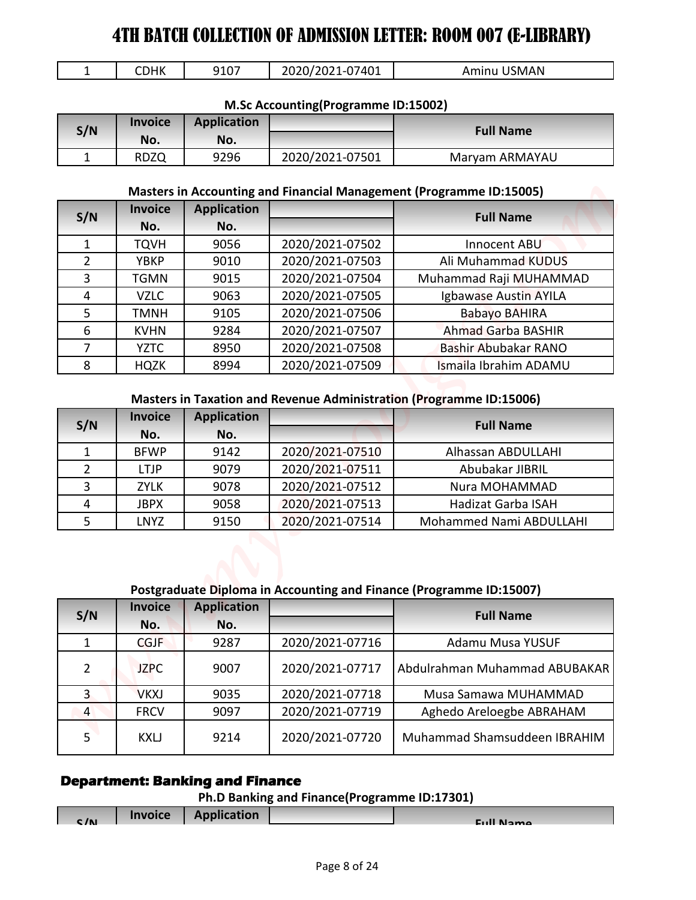| ΣНΚ<br>--<br>ັ | 2020/2021<br>$-07401$<br>9107<br>$-1$<br>'UL | JSMAN<br>Amınu |
|----------------|----------------------------------------------|----------------|
|----------------|----------------------------------------------|----------------|

#### **M.Sc Accounting(Programme ID:15002)**

| S/N | <b>Invoice</b><br>No. | Application<br>No. |                 | <b>Full Name</b> |
|-----|-----------------------|--------------------|-----------------|------------------|
|     | <b>RDZQ</b>           | 9296               | 2020/2021-07501 | Maryam ARMAYAU   |

#### **Masters in Accounting and Financial Management (Programme ID:15005)**

| $\mathbf{1}$        | <b>CDHK</b>                | 9107               | 2020/2021-07401                     | Aminu USMAN                                                                                    |
|---------------------|----------------------------|--------------------|-------------------------------------|------------------------------------------------------------------------------------------------|
|                     |                            |                    | M.Sc Accounting(Programme ID:15002) |                                                                                                |
| S/N                 | <b>Invoice</b>             | <b>Application</b> |                                     | <b>Full Name</b>                                                                               |
|                     | No.                        | No.                |                                     |                                                                                                |
| $\mathbf{1}$        | <b>RDZQ</b>                | 9296               | 2020/2021-07501                     | Maryam ARMAYAU                                                                                 |
|                     |                            |                    |                                     | Masters in Accounting and Financial Management (Programme ID:15005)                            |
| S/N                 | <b>Invoice</b>             | <b>Application</b> |                                     | <b>Full Name</b>                                                                               |
|                     | No.                        | No.                |                                     |                                                                                                |
| $\mathbf{1}$        | <b>TQVH</b>                | 9056               | 2020/2021-07502                     | Innocent ABU                                                                                   |
| $\overline{2}$      | <b>YBKP</b>                | 9010               | 2020/2021-07503                     | Ali Muhammad KUDUS                                                                             |
| 3                   | <b>TGMN</b>                | 9015               | 2020/2021-07504                     | Muhammad Raji MUHAMMAD                                                                         |
| 4                   | <b>VZLC</b>                | 9063               | 2020/2021-07505                     | Igbawase Austin AYILA                                                                          |
| 5                   | <b>TMNH</b>                | 9105               | 2020/2021-07506                     | <b>Babayo BAHIRA</b>                                                                           |
| 6                   | <b>KVHN</b>                | 9284               | 2020/2021-07507                     | <b>Ahmad Garba BASHIR</b>                                                                      |
| $\overline{7}$<br>8 | <b>YZTC</b><br><b>HQZK</b> | 8950<br>8994       | 2020/2021-07508<br>2020/2021-07509  | Bashir Abubakar RANO<br>Ismaila Ibrahim ADAMU                                                  |
| S/N                 | <b>Invoice</b>             | <b>Application</b> |                                     | <b>Masters in Taxation and Revenue Administration (Programme ID:15006)</b><br><b>Full Name</b> |
|                     | No.                        | No.                |                                     |                                                                                                |
| 1                   | <b>BFWP</b>                | 9142               | 2020/2021-07510                     | Alhassan ABDULLAHI                                                                             |
| $\overline{2}$      | <b>LTJP</b>                | 9079               | 2020/2021-07511                     | Abubakar JIBRIL                                                                                |
| 3                   | <b>ZYLK</b>                | 9078               | 2020/2021-07512                     | Nura MOHAMMAD                                                                                  |
| 4                   | <b>JBPX</b><br><b>LNYZ</b> | 9058<br>9150       | 2020/2021-07513<br>2020/2021-07514  | <b>Hadizat Garba ISAH</b><br>Mohammed Nami ABDULLAHI                                           |
| 5                   |                            |                    |                                     |                                                                                                |
|                     |                            |                    |                                     | Postgraduate Diploma in Accounting and Finance (Programme ID:15007)                            |
|                     | <b>Invoice</b>             | <b>Application</b> |                                     |                                                                                                |
| S/N                 | No.                        | No.                |                                     | <b>Full Name</b>                                                                               |
| $\mathbf{1}$        | <b>CGJF</b>                | 9287               | 2020/2021-07716                     | Adamu Musa YUSUF                                                                               |
| $\overline{2}$      | <b>JZPC</b>                | 9007               | 2020/2021-07717                     | Abdulrahman Muhammad ABUBAKAR                                                                  |
| $\overline{3}$      | <b>VKXJ</b>                | 9035               | 2020/2021-07718                     | Musa Samawa MUHAMMAD                                                                           |
| $\overline{4}$      | <b>FRCV</b>                | 9097               | 2020/2021-07719                     | Aghedo Areloegbe ABRAHAM                                                                       |
| 5                   | <b>KXLJ</b>                | 9214               | 2020/2021-07720                     | Muhammad Shamsuddeen IBRAHIM                                                                   |

#### **Masters in Taxation and Revenue Administration (Programme ID:15006)**

| S/N          | <b>Invoice</b> | <b>Application</b> |                 | <b>Full Name</b>          |
|--------------|----------------|--------------------|-----------------|---------------------------|
|              | No.            | No.                |                 |                           |
|              | <b>BFWP</b>    | 9142               | 2020/2021-07510 | Alhassan ABDULLAHI        |
| າ            | LTJP           | 9079               | 2020/2021-07511 | Abubakar JIBRIL           |
| $\mathbf{C}$ | <b>ZYLK</b>    | 9078               | 2020/2021-07512 | Nura MOHAMMAD             |
|              | <b>JBPX</b>    | 9058               | 2020/2021-07513 | <b>Hadizat Garba ISAH</b> |
|              | LNYZ           | 9150               | 2020/2021-07514 | Mohammed Nami ABDULLAHI   |

#### **Postgraduate Diploma in Accounting and Finance (Programme ID:15007)**

| S/N            | <b>Invoice</b> | <b>Application</b> |                 | <b>Full Name</b>              |
|----------------|----------------|--------------------|-----------------|-------------------------------|
|                | No.            | No.                |                 |                               |
|                | <b>CGJF</b>    | 9287               | 2020/2021-07716 | Adamu Musa YUSUF              |
| $\overline{2}$ | <b>JZPC</b>    | 9007               | 2020/2021-07717 | Abdulrahman Muhammad ABUBAKAR |
| 3              | <b>VKXJ</b>    | 9035               | 2020/2021-07718 | Musa Samawa MUHAMMAD          |
| $\overline{4}$ | <b>FRCV</b>    | 9097               | 2020/2021-07719 | Aghedo Areloegbe ABRAHAM      |
| 5              | <b>KXLJ</b>    | 9214               | 2020/2021-07720 | Muhammad Shamsuddeen IBRAHIM  |

### **Department: Banking and Finance**

| C/N | <b>Invoice</b> | <b>Application</b> | <b>Cull Name</b> |
|-----|----------------|--------------------|------------------|
|     |                |                    |                  |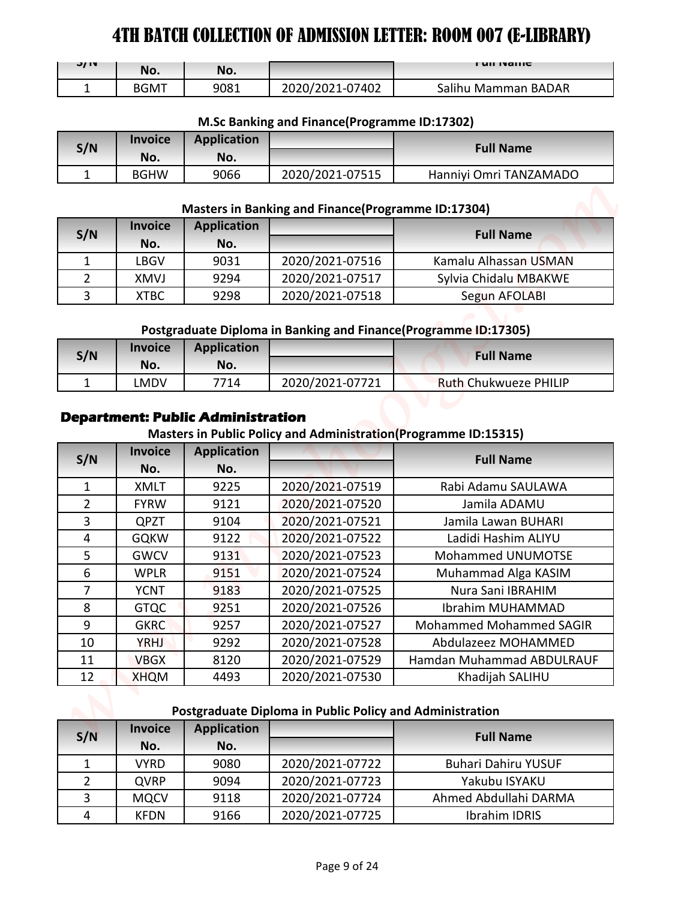| <b>J/IV</b> | No.         | No.  |                 | <b>FUILIVALLIC</b>  |
|-------------|-------------|------|-----------------|---------------------|
|             | <b>BGMT</b> | 9081 | 2020/2021-07402 | Salihu Mamman BADAR |

### **M.Sc Banking and Finance(Programme ID:17302)**

| S/N | <b>Invoice</b> | <b>Application</b> |                 | <b>Full Name</b>       |
|-----|----------------|--------------------|-----------------|------------------------|
|     | No.            | No.                |                 |                        |
|     | <b>BGHW</b>    | 9066               | 2020/2021-07515 | Hanniyi Omri TANZAMADO |

#### **Masters in Banking and Finance(Programme ID:17304)**

| S/N | <b>Invoice</b><br>No. | <b>Application</b><br>No. |                 | <b>Full Name</b>      |
|-----|-----------------------|---------------------------|-----------------|-----------------------|
|     | LBGV                  | 9031                      | 2020/2021-07516 | Kamalu Alhassan USMAN |
|     | <b>XMVJ</b>           | 9294                      | 2020/2021-07517 | Sylvia Chidalu MBAKWE |
| ્ર  | <b>XTBC</b>           | 9298                      | 2020/2021-07518 | Segun AFOLABI         |

#### **Postgraduate Diploma in Banking and Finance(Programme ID:17305)**

| S/N | <b>Invoice</b> | <b>Application</b> |                 | <b>Full Name</b>             |
|-----|----------------|--------------------|-----------------|------------------------------|
|     | No.            | No.                |                 |                              |
|     | _MDV           | 7714               | 2020/2021-07721 | <b>Ruth Chukwueze PHILIP</b> |

# **Department: Public Administration**

#### **Masters in Public Policy and Administration(Programme ID:15315)**

| J/ IV                            |                            |                                                  |                                                          | <b>FUILIVAILLE</b>                                              |
|----------------------------------|----------------------------|--------------------------------------------------|----------------------------------------------------------|-----------------------------------------------------------------|
|                                  | No.                        | No.                                              |                                                          |                                                                 |
| $\mathbf{1}$                     | <b>BGMT</b>                | 9081                                             | 2020/2021-07402                                          | Salihu Mamman BADAR                                             |
|                                  |                            |                                                  | M.Sc Banking and Finance(Programme ID:17302)             |                                                                 |
|                                  | <b>Invoice</b>             | <b>Application</b>                               |                                                          |                                                                 |
| S/N                              | No.                        | No.                                              |                                                          | <b>Full Name</b>                                                |
| $\mathbf{1}$                     | <b>BGHW</b>                | 9066                                             | 2020/2021-07515                                          | Hanniyi Omri TANZAMADO                                          |
|                                  |                            |                                                  |                                                          |                                                                 |
|                                  |                            |                                                  | Masters in Banking and Finance(Programme ID:17304)       |                                                                 |
| S/N                              | <b>Invoice</b>             | <b>Application</b>                               |                                                          | <b>Full Name</b>                                                |
|                                  | No.                        | No.                                              |                                                          |                                                                 |
| 1                                | <b>LBGV</b>                | 9031                                             | 2020/2021-07516                                          | Kamalu Alhassan USMAN                                           |
| $\overline{2}$                   | <b>XMVJ</b>                | 9294                                             | 2020/2021-07517                                          | Sylvia Chidalu MBAKWE                                           |
| $\overline{3}$                   | <b>XTBC</b>                | 9298                                             | 2020/2021-07518                                          | Segun AFOLABI                                                   |
|                                  |                            |                                                  |                                                          |                                                                 |
|                                  |                            |                                                  |                                                          | Postgraduate Diploma in Banking and Finance(Programme ID:17305) |
| S/N                              | <b>Invoice</b>             | <b>Application</b>                               |                                                          | <b>Full Name</b>                                                |
|                                  | No.                        | No.                                              |                                                          | <b>Ruth Chukwueze PHILIP</b>                                    |
| 1                                | <b>LMDV</b>                | 7714<br><b>Department: Public Administration</b> | 2020/2021-07721                                          | Masters in Public Policy and Administration(Programme ID:15315) |
| S/N                              | <b>Invoice</b>             | <b>Application</b>                               |                                                          | <b>Full Name</b>                                                |
|                                  | No.                        | No.                                              |                                                          |                                                                 |
| $\mathbf{1}$                     | <b>XMLT</b>                | 9225                                             | 2020/2021-07519                                          | Rabi Adamu SAULAWA                                              |
| $\overline{2}$                   | <b>FYRW</b>                | 9121                                             | 2020/2021-07520                                          | Jamila ADAMU                                                    |
| $\overline{3}$                   | <b>QPZT</b>                | 9104                                             | 2020/2021-07521                                          | Jamila Lawan BUHARI                                             |
| $\overline{4}$                   | <b>GQKW</b>                | 9122                                             | 2020/2021-07522                                          | Ladidi Hashim ALIYU                                             |
| 5                                | <b>GWCV</b>                | 9131                                             | 2020/2021-07523                                          | Mohammed UNUMOTSE                                               |
| 6<br>$\overline{7}$              | <b>WPLR</b>                | 9151                                             | 2020/2021-07524                                          | Muhammad Alga KASIM                                             |
| 8                                | <b>YCNT</b>                | 9183<br>9251                                     | 2020/2021-07525<br>2020/2021-07526                       | Nura Sani IBRAHIM<br>Ibrahim MUHAMMAD                           |
| 9                                | <b>GTQC</b><br><b>GKRC</b> | 9257                                             | 2020/2021-07527                                          | <b>Mohammed Mohammed SAGIR</b>                                  |
| 10                               | <b>YRHJ</b>                | 9292                                             | 2020/2021-07528                                          | Abdulazeez MOHAMMED                                             |
| 11                               | <b>VBGX</b>                | 8120                                             | 2020/2021-07529                                          | Hamdan Muhammad ABDULRAUF                                       |
| 12                               | <b>XHQM</b>                | 4493                                             | 2020/2021-07530                                          | Khadijah SALIHU                                                 |
|                                  |                            |                                                  |                                                          |                                                                 |
|                                  |                            |                                                  | Postgraduate Diploma in Public Policy and Administration |                                                                 |
| S/N                              | <b>Invoice</b>             | <b>Application</b>                               |                                                          | <b>Full Name</b>                                                |
|                                  | No.                        | No.                                              |                                                          |                                                                 |
| $\mathbf{1}$                     | <b>VYRD</b>                | 9080                                             | 2020/2021-07722                                          | <b>Buhari Dahiru YUSUF</b>                                      |
| $\overline{2}$<br>$\overline{3}$ | <b>QVRP</b><br><b>MQCV</b> | 9094<br>9118                                     | 2020/2021-07723<br>2020/2021-07724                       | Yakubu ISYAKU<br>Ahmed Abdullahi DARMA                          |

#### **Postgraduate Diploma in Public Policy and Administration**

| S/N | <b>Invoice</b> | <b>Application</b> |                 | <b>Full Name</b>           |
|-----|----------------|--------------------|-----------------|----------------------------|
|     | No.            | No.                |                 |                            |
|     | VYRD           | 9080               | 2020/2021-07722 | <b>Buhari Dahiru YUSUF</b> |
|     | <b>QVRP</b>    | 9094               | 2020/2021-07723 | Yakubu ISYAKU              |
| 3   | <b>MQCV</b>    | 9118               | 2020/2021-07724 | Ahmed Abdullahi DARMA      |
| 4   | <b>KFDN</b>    | 9166               | 2020/2021-07725 | Ibrahim IDRIS              |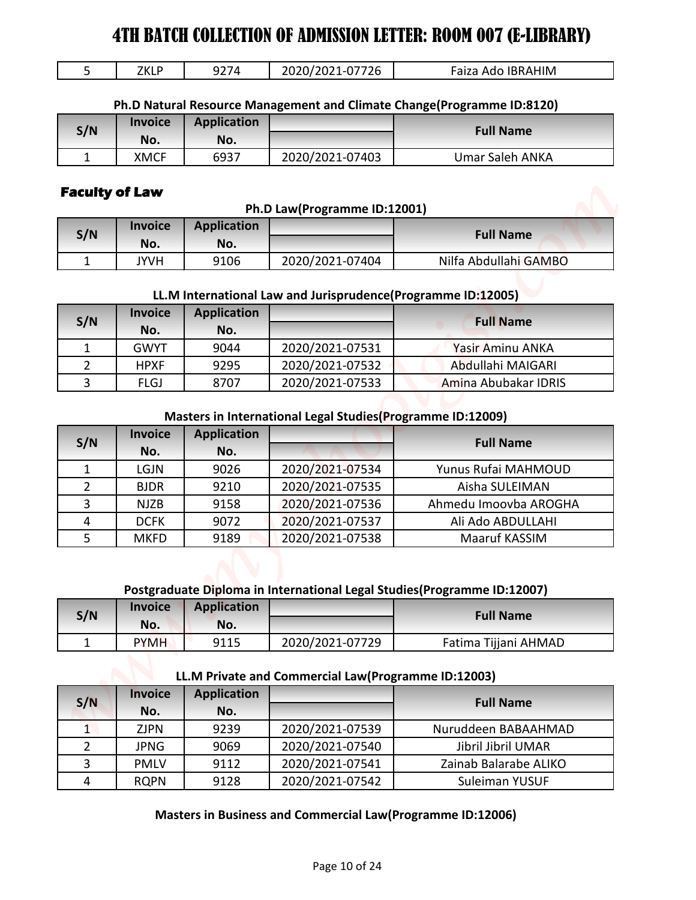| <b>IBRAHIM</b><br>Auc<br>∠∪<br>----<br>.<br>_____ | フレリ<br>ш.<br>LNLI |
|---------------------------------------------------|-------------------|
|---------------------------------------------------|-------------------|

| S/N | <b>Invoice</b> | <b>Application</b> |                 | <b>Full Name</b> |
|-----|----------------|--------------------|-----------------|------------------|
|     | No.            | No.                |                 |                  |
|     | <b>XMCF</b>    | 6937               | 2020/2021-07403 | Umar Saleh ANKA  |

# **Faculty of Law**

|     |                |                    | Ph.D Law(Programme ID:12001) |                       |
|-----|----------------|--------------------|------------------------------|-----------------------|
| S/N | <b>Invoice</b> | <b>Application</b> |                              | <b>Full Name</b>      |
|     | No.            | No.                |                              |                       |
|     | JYVH           | 9106               | 2020/2021-07404              | Nilfa Abdullahi GAMBO |

### **LL.M International Law and Jurisprudence(Programme ID:12005)**

| S/N | <b>Invoice</b> | <b>Application</b> |                 | <b>Full Name</b>     |
|-----|----------------|--------------------|-----------------|----------------------|
|     | No.            | No.                |                 |                      |
|     | <b>GWYT</b>    | 9044               | 2020/2021-07531 | Yasir Aminu ANKA     |
|     | <b>HPXF</b>    | 9295               | 2020/2021-07532 | Abdullahi MAIGARI    |
|     | <b>FLGJ</b>    | 8707               | 2020/2021-07533 | Amina Abubakar IDRIS |

#### **Masters in International Legal Studies(Programme ID:12009)**

| 5              | <b>ZKLP</b>           | 9274                      | 2020/2021-07726                                              | Faiza Ado IBRAHIM                                                        |
|----------------|-----------------------|---------------------------|--------------------------------------------------------------|--------------------------------------------------------------------------|
|                |                       |                           |                                                              | Ph.D Natural Resource Management and Climate Change(Programme ID:8120)   |
|                | <b>Invoice</b>        | <b>Application</b>        |                                                              | <b>Full Name</b>                                                         |
| S/N            | No.                   | No.                       |                                                              |                                                                          |
| $\mathbf{1}$   | <b>XMCF</b>           | 6937                      | 2020/2021-07403                                              | <b>Umar Saleh ANKA</b>                                                   |
|                | <b>Faculty of Law</b> |                           | Ph.D Law(Programme ID:12001)                                 |                                                                          |
| S/N            | <b>Invoice</b>        | <b>Application</b>        |                                                              | <b>Full Name</b>                                                         |
| $\mathbf{1}$   | No.<br><b>JYVH</b>    | No.<br>9106               | 2020/2021-07404                                              | Nilfa Abdullahi GAMBO                                                    |
|                |                       |                           |                                                              |                                                                          |
|                | <b>Invoice</b>        | <b>Application</b>        | LL.M International Law and Jurisprudence(Programme ID:12005) |                                                                          |
| S/N            | No.                   | No.                       |                                                              | <b>Full Name</b>                                                         |
| $\mathbf{1}$   | <b>GWYT</b>           | 9044                      | 2020/2021-07531                                              | Yasir Aminu ANKA                                                         |
| $\overline{2}$ | <b>HPXF</b>           | 9295                      | 2020/2021-07532                                              | Abdullahi MAIGARI                                                        |
| 3              | <b>FLGJ</b>           | 8707                      | 2020/2021-07533                                              | Amina Abubakar IDRIS                                                     |
| S/N            | <b>Invoice</b><br>No. | <b>Application</b><br>No. |                                                              | <b>Full Name</b>                                                         |
| $\mathbf{1}$   | <b>LGJN</b>           | 9026                      | 2020/2021-07534                                              | Yunus Rufai MAHMOUD                                                      |
| $\overline{2}$ | <b>BJDR</b>           | 9210                      | 2020/2021-07535                                              | Aisha SULEIMAN                                                           |
| $\overline{3}$ | <b>NJZB</b>           | 9158                      | 2020/2021-07536                                              | Ahmedu Imoovba AROGHA                                                    |
| 4              | <b>DCFK</b>           | 9072                      | 2020/2021-07537                                              | Ali Ado ABDULLAHI                                                        |
| 5              | <b>MKFD</b>           | 9189                      | 2020/2021-07538                                              | Maaruf KASSIM                                                            |
|                |                       |                           |                                                              | Postgraduate Diploma in International Legal Studies (Programme ID:12007) |
|                | Invoice               | <b>Application</b><br>No. |                                                              | <b>Full Name</b>                                                         |
| S/N            | No.                   |                           |                                                              | Fatima Tijjani AHMAD                                                     |
| $\mathbf{1}$   | <b>PYMH</b>           | 9115                      | 2020/2021-07729                                              |                                                                          |
|                |                       |                           | LL.M Private and Commercial Law(Programme ID:12003)          |                                                                          |
| S/N            | <b>Invoice</b><br>No. | <b>Application</b><br>No. |                                                              | <b>Full Name</b>                                                         |
| $\mathbf{1}$   | <b>ZJPN</b>           | 9239                      | 2020/2021-07539                                              | Nuruddeen BABAAHMAD                                                      |
| $\overline{2}$ | <b>JPNG</b>           | 9069                      | 2020/2021-07540                                              | Jibril Jibril UMAR                                                       |
| 3              | <b>PMLV</b>           | 9112                      | 2020/2021-07541                                              | Zainab Balarabe ALIKO                                                    |

#### **Postgraduate Diploma in International Legal Studies(Programme ID:12007)**

| S/N | <b>Invoice</b><br>No. | <b>Application</b><br>No. |                 | <b>Full Name</b>     |
|-----|-----------------------|---------------------------|-----------------|----------------------|
|     | <b>PYMH</b>           | 9115                      | 2020/2021-07729 | Fatima Tijjani AHMAD |

### **LL.M Private and Commercial Law(Programme ID:12003)**

| S/N | <b>Invoice</b><br>No. | <b>Application</b><br>No. |                 | <b>Full Name</b>      |
|-----|-----------------------|---------------------------|-----------------|-----------------------|
|     | ZJPN                  | 9239                      | 2020/2021-07539 | Nuruddeen BABAAHMAD   |
|     | <b>JPNG</b>           | 9069                      | 2020/2021-07540 | Jibril Jibril UMAR    |
|     | <b>PMLV</b>           | 9112                      | 2020/2021-07541 | Zainab Balarabe ALIKO |
| 4   | <b>ROPN</b>           | 9128                      | 2020/2021-07542 | Suleiman YUSUF        |

#### **Masters in Business and Commercial Law(Programme ID:12006)**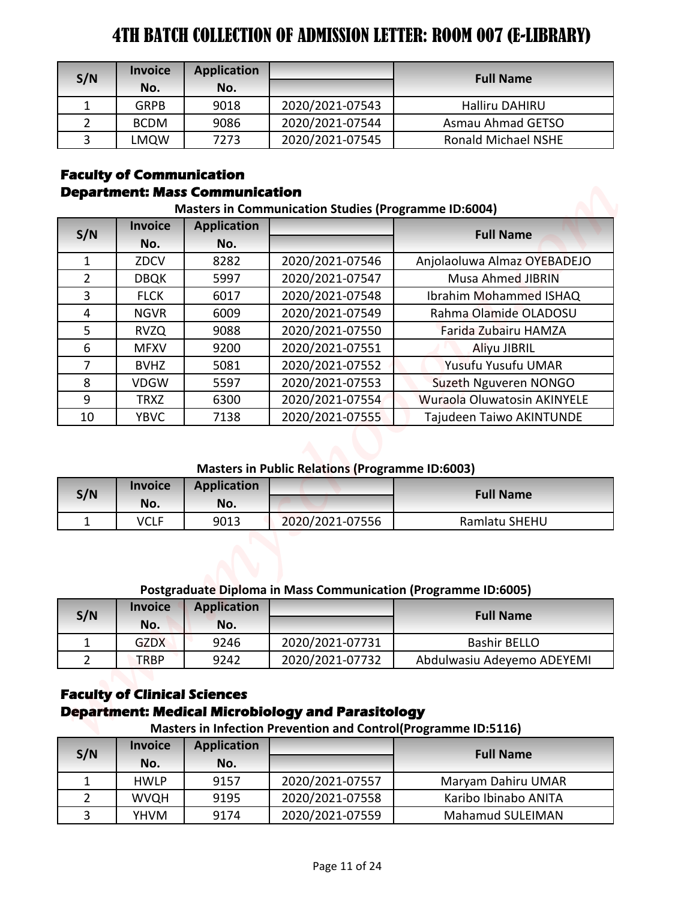| S/N          | <b>Invoice</b><br>No. | <b>Application</b><br>No. |                 | <b>Full Name</b>           |
|--------------|-----------------------|---------------------------|-----------------|----------------------------|
|              | <b>GRPB</b>           | 9018                      | 2020/2021-07543 | <b>Halliru DAHIRU</b>      |
|              | <b>BCDM</b>           | 9086                      | 2020/2021-07544 | Asmau Ahmad GETSO          |
| $\mathbf{z}$ | LMQW                  | 7273                      | 2020/2021-07545 | <b>Ronald Michael NSHE</b> |

#### **Faculty of Communication Department: Mass Communication**

# 1 ZDCV 8282 2020/2021-07546 Anjolaoluwa Almaz OYEBADEJO 2 | DBQK | 5997 | 2020/2021-07547 | Musa Ahmed JIBRIN 3 FLCK 6017 2020/2021-07548 Ibrahim Mohammed ISHAQ 4 NGVR 6009 2020/2021-07549 Rahma Olamide OLADOSU 5 RVZQ 9088 2020/2021-07550 Farida Zubairu HAMZA 6 | MFXV | 9200 | 2020/2021-07551 | Aliyu JIBRIL 7 BVHZ 5081 2020/2021-07552 Yusufu Yusufu UMAR 8 | VDGW | 5597 | 2020/2021-07553 | Suzeth Nguveren NONGO 9 | TRXZ | 6300 | 2020/2021-07554 | Wuraola Oluwatosin AKINYELE 10 | YBVC | 7138 | 2020/2021-07555 | Tajudeen Taiwo AKINTUNDE **Full Name Masters in Communication Studies (Programme ID:6004) S/N Invoice No. Application No. THE BATCH COLLECTION OF ADMISSION LETTER: ROOM 607 (B-LIBRARY)**<br>
S/N Imagic Application For the Numerical Figure 1.1 of Numerical Collection Figure 1.1 of 24  $\times$  1000 (1991)<br>
2. Collection Figure 1.1 of 2002-221-023-43

#### **Masters in Public Relations (Programme ID:6003)**

| S/N | <b>Invoice</b><br>No. | <b>Application</b><br>No. |                 | <b>Full Name</b> |
|-----|-----------------------|---------------------------|-----------------|------------------|
|     | VCLF                  | 9013                      | 2020/2021-07556 | Ramlatu SHEHU    |

#### **Postgraduate Diploma in Mass Communication (Programme ID:6005)**

| S/N | <b>Invoice</b><br>No. | <b>Application</b><br>No. |                 | <b>Full Name</b>           |
|-----|-----------------------|---------------------------|-----------------|----------------------------|
|     | <b>GZDX</b>           | 9246                      | 2020/2021-07731 | <b>Bashir BELLO</b>        |
|     | <b>TRBP</b>           | 9242                      | 2020/2021-07732 | Abdulwasiu Adeyemo ADEYEMI |

# **Faculty of Clinical Sciences Department: Medical Microbiology and Parasitology**

**Masters in Infection Prevention and Control(Programme ID:5116)**

| S/N | <b>Invoice</b><br>No. | <b>Application</b><br>No. |                 | <b>Full Name</b>        |
|-----|-----------------------|---------------------------|-----------------|-------------------------|
|     | <b>HWLP</b>           | 9157                      | 2020/2021-07557 | Maryam Dahiru UMAR      |
|     | <b>WVQH</b>           | 9195                      | 2020/2021-07558 | Karibo Ibinabo ANITA    |
|     | YHVM                  | 9174                      | 2020/2021-07559 | <b>Mahamud SULEIMAN</b> |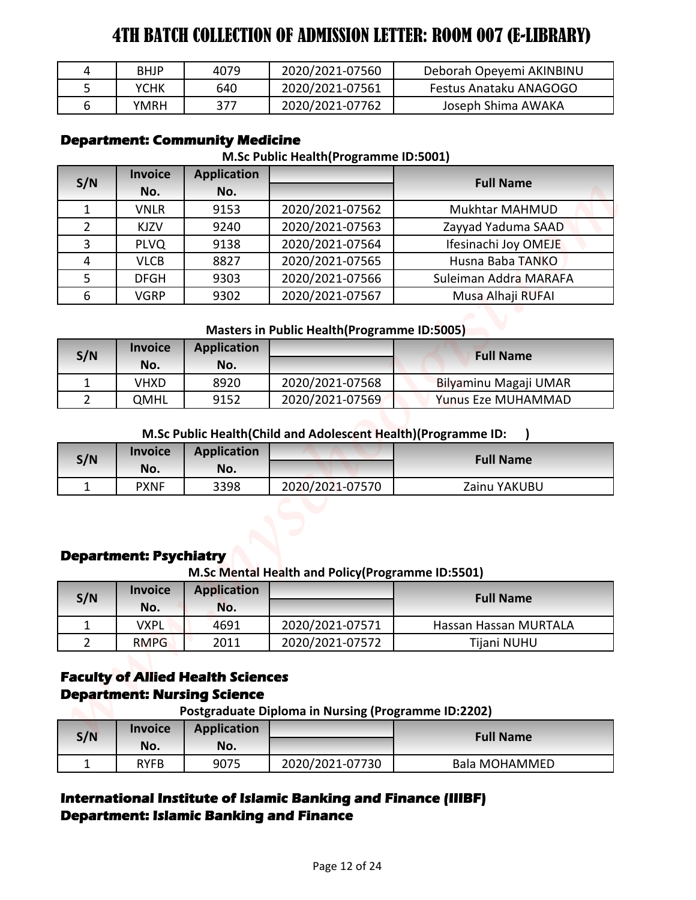| BHJP | 4079 | 2020/2021-07560 | Deborah Opeyemi AKINBINU |
|------|------|-----------------|--------------------------|
| ҮСНК | 640  | 2020/2021-07561 | Festus Anataku ANAGOGO   |
| YMRH | 377  | 2020/2021-07762 | Joseph Shima AWAKA       |

# **Department: Community Medicine**

#### **M.Sc Public Health(Programme ID:5001)**

| 4                   | <b>BHJP</b>                                     | 4079                                                        | 2020/2021-07560                                               | Deborah Opeyemi AKINBINU                 |
|---------------------|-------------------------------------------------|-------------------------------------------------------------|---------------------------------------------------------------|------------------------------------------|
| 5                   | <b>YCHK</b>                                     | 640                                                         | 2020/2021-07561                                               | Festus Anataku ANAGOGO                   |
| $6\overline{6}$     | <b>YMRH</b>                                     | 377                                                         | 2020/2021-07762                                               | Joseph Shima AWAKA                       |
| S/N                 | <b>Invoice</b>                                  | <b>Department: Community Medicine</b><br><b>Application</b> | M.Sc Public Health (Programme ID:5001)                        | <b>Full Name</b>                         |
|                     | No.                                             | No.                                                         |                                                               |                                          |
| $\mathbf{1}$        | <b>VNLR</b>                                     | 9153                                                        | 2020/2021-07562                                               | Mukhtar MAHMUD                           |
| $\overline{2}$      | KJZV                                            | 9240                                                        | 2020/2021-07563                                               | Zayyad Yaduma SAAD                       |
| 3                   | <b>PLVQ</b>                                     | 9138                                                        | 2020/2021-07564                                               | Ifesinachi Joy OMEJE                     |
| 4                   | <b>VLCB</b>                                     | 8827                                                        | 2020/2021-07565                                               | Husna Baba TANKO                         |
| 5                   | <b>DFGH</b>                                     | 9303                                                        | 2020/2021-07566                                               | Suleiman Addra MARAFA                    |
| 6                   | <b>VGRP</b>                                     | 9302                                                        | 2020/2021-07567                                               | Musa Alhaji RUFAI                        |
|                     |                                                 |                                                             | <b>Masters in Public Health (Programme ID:5005)</b>           |                                          |
|                     | <b>Invoice</b>                                  | <b>Application</b>                                          |                                                               |                                          |
| S/N                 | No.                                             | No.                                                         |                                                               | <b>Full Name</b>                         |
| $\mathbf{1}$        | <b>VHXD</b>                                     | 8920                                                        | 2020/2021-07568                                               | Bilyaminu Magaji UMAR                    |
| $\overline{2}$      | <b>QMHL</b>                                     | 9152                                                        | 2020/2021-07569                                               | <b>Yunus Eze MUHAMMAD</b>                |
| S/N                 | <b>Invoice</b><br>No.                           | <b>Application</b><br>No.                                   | M.Sc Public Health(Child and Adolescent Health)(Programme ID: | <b>Full Name</b>                         |
| 1                   | <b>PXNF</b>                                     | 3398                                                        | 2020/2021-07570                                               | Zainu YAKUBU                             |
|                     |                                                 |                                                             |                                                               |                                          |
|                     | <b>Department: Psychiatry</b><br><b>Invoice</b> | <b>Application</b>                                          | M.Sc Mental Health and Policy (Programme ID:5501)             |                                          |
| S/N                 | No.                                             | No.                                                         |                                                               | <b>Full Name</b>                         |
| 1                   | <b>VXPL</b>                                     | 4691                                                        | 2020/2021-07571                                               | Hassan Hassan MURTALA                    |
|                     |                                                 |                                                             |                                                               |                                          |
| $\overline{2}$      | <b>RMPG</b>                                     | 2011<br><b>Faculty of Allied Health Sciences</b>            | 2020/2021-07572                                               | Tijani NUHU                              |
|                     |                                                 | <b>Department: Nursing Science</b>                          | <b>Postgraduate Diploma in Nursing (Programme ID:2202)</b>    |                                          |
|                     | <b>Invoice</b>                                  | <b>Application</b>                                          |                                                               |                                          |
| S/N<br>$\mathbf{1}$ | No.<br><b>RYFB</b>                              | No.<br>9075                                                 | 2020/2021-07730                                               | <b>Full Name</b><br><b>Bala MOHAMMED</b> |

#### **Masters in Public Health(Programme ID:5005)**

| S/N | <b>Invoice</b> | <b>Application</b> |                 | <b>Full Name</b>      |
|-----|----------------|--------------------|-----------------|-----------------------|
|     | No.            | No.                |                 |                       |
|     | VHXD           | 8920               | 2020/2021-07568 | Bilyaminu Magaji UMAR |
|     | QMHL           | 9152               | 2020/2021-07569 | Yunus Eze MUHAMMAD    |

#### **M.Sc Public Health(Child and Adolescent Health)(Programme ID: )**

| S/N | <b>Invoice</b><br>No. | <b>Application</b><br>No. |                 | <b>Full Name</b> |
|-----|-----------------------|---------------------------|-----------------|------------------|
|     | <b>PXNF</b>           | 3398                      | 2020/2021-07570 | Zainu YAKUBU     |

### **Department: Psychiatry**

#### **M.Sc Mental Health and Policy(Programme ID:5501)**

| S/N | <b>Invoice</b><br>No. | <b>Application</b><br>No. |                 | <b>Full Name</b>      |
|-----|-----------------------|---------------------------|-----------------|-----------------------|
|     | VXPL                  | 4691                      | 2020/2021-07571 | Hassan Hassan MURTALA |
|     | <b>RMPG</b>           | 2011                      | 2020/2021-07572 | Tijani NUHU           |

# **Faculty of Allied Health Sciences Department: Nursing Science**

| S/N | <b>Invoice</b><br>No. | <b>Application</b><br>No. |                 | <b>Full Name</b>     |
|-----|-----------------------|---------------------------|-----------------|----------------------|
|     | RYFB                  | 9075                      | 2020/2021-07730 | <b>Bala MOHAMMED</b> |

# **International Institute of Islamic Banking and Finance (IIIBF) Department: Islamic Banking and Finance**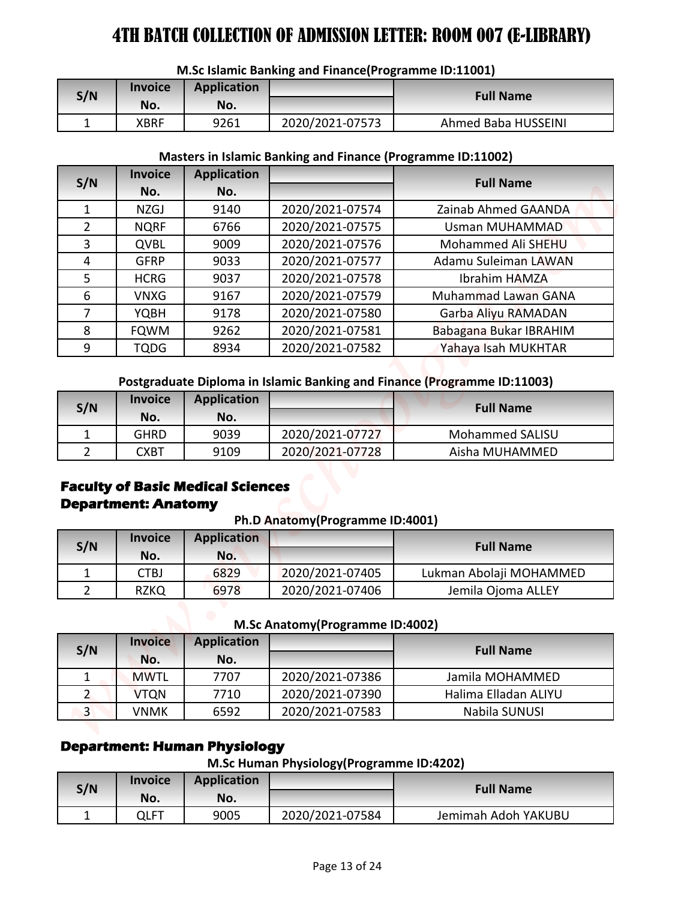| S/N | <b>Invoice</b> | Application |                 | <b>Full Name</b>    |  |
|-----|----------------|-------------|-----------------|---------------------|--|
|     | No.            | No.         |                 |                     |  |
|     | XBRF           | 9261        | 2020/2021-07573 | Ahmed Baba HUSSEINI |  |

#### **M.Sc Islamic Banking and Finance(Programme ID:11001)**

#### **Masters in Islamic Banking and Finance (Programme ID:11002)**

|                |                            |                                          | M.Sc Islamic Banking and Finance(Programme ID:11001)               |                                                                          |
|----------------|----------------------------|------------------------------------------|--------------------------------------------------------------------|--------------------------------------------------------------------------|
|                | <b>Invoice</b>             | <b>Application</b>                       |                                                                    |                                                                          |
| S/N            | No.                        | No.                                      |                                                                    | <b>Full Name</b>                                                         |
| $\mathbf{1}$   | <b>XBRF</b>                | 9261                                     | 2020/2021-07573                                                    | Ahmed Baba HUSSEINI                                                      |
|                |                            |                                          | <b>Masters in Islamic Banking and Finance (Programme ID:11002)</b> |                                                                          |
|                | <b>Invoice</b>             | <b>Application</b>                       |                                                                    |                                                                          |
| S/N            | No.                        | No.                                      |                                                                    | <b>Full Name</b>                                                         |
| $\mathbf{1}$   | <b>NZGJ</b>                | 9140                                     | 2020/2021-07574                                                    | Zainab Ahmed GAANDA                                                      |
| $\overline{2}$ | <b>NQRF</b>                | 6766                                     | 2020/2021-07575                                                    | Usman MUHAMMAD                                                           |
| 3              | QVBL                       | 9009                                     | 2020/2021-07576                                                    | Mohammed Ali SHEHU                                                       |
| 4              | <b>GFRP</b>                | 9033                                     | 2020/2021-07577                                                    | Adamu Suleiman LAWAN                                                     |
| 5              | <b>HCRG</b>                | 9037                                     | 2020/2021-07578                                                    | Ibrahim HAMZA                                                            |
| 6              | <b>VNXG</b>                | 9167                                     | 2020/2021-07579                                                    | <b>Muhammad Lawan GANA</b>                                               |
| $\overline{7}$ | <b>YQBH</b>                | 9178                                     | 2020/2021-07580                                                    | Garba Aliyu RAMADAN                                                      |
| 8              | <b>FQWM</b>                | 9262                                     | 2020/2021-07581                                                    | Babagana Bukar IBRAHIM                                                   |
| 9              | <b>TQDG</b>                | 8934                                     | 2020/2021-07582                                                    | Yahaya Isah MUKHTAR                                                      |
|                | <b>Invoice</b>             | <b>Application</b>                       |                                                                    | Postgraduate Diploma in Islamic Banking and Finance (Programme ID:11003) |
| S/N            | No.                        | No.                                      |                                                                    | <b>Full Name</b>                                                         |
| $\mathbf{1}$   | <b>GHRD</b>                | 9039                                     | 2020/2021-07727                                                    | <b>Mohammed SALISU</b>                                                   |
| $\overline{2}$ | <b>CXBT</b>                | 9109                                     | 2020/2021-07728                                                    | Aisha MUHAMMED                                                           |
|                |                            |                                          |                                                                    |                                                                          |
|                | <b>Department: Anatomy</b> | <b>Faculty of Basic Medical Sciences</b> | Ph.D Anatomy(Programme ID:4001)                                    |                                                                          |
|                | <b>Invoice</b>             | <b>Application</b>                       |                                                                    |                                                                          |
| S/N            | No.                        | No.                                      |                                                                    | <b>Full Name</b>                                                         |
| $\mathbf{1}$   | <b>CTBJ</b>                | 6829                                     | 2020/2021-07405                                                    | Lukman Abolaji MOHAMMED                                                  |
| $2^{\circ}$    | <b>RZKQ</b>                | 6978                                     | 2020/2021-07406                                                    | Jemila Ojoma ALLEY                                                       |
|                |                            |                                          |                                                                    |                                                                          |
|                | <b>Invoice</b>             | <b>Application</b>                       | M.Sc Anatomy(Programme ID:4002)                                    |                                                                          |
| S/N            | No.                        | No.                                      |                                                                    | <b>Full Name</b>                                                         |
| 1              | <b>MWTL</b>                | 7707                                     | 2020/2021-07386                                                    | Jamila MOHAMMED                                                          |
| $\overline{2}$ | <b>VTQN</b>                | 7710                                     | 2020/2021-07390                                                    | Halima Elladan ALIYU                                                     |
| 3 <sup>1</sup> | <b>VNMK</b>                | 6592                                     | 2020/2021-07583                                                    | Nabila SUNUSI                                                            |
|                |                            | <b>Department: Human Physiology</b>      | M.Sc Human Physiology(Programme ID:4202)                           |                                                                          |
|                | <b>Invoice</b>             | <b>Application</b>                       |                                                                    |                                                                          |
| S/N            | No.<br><b>QLFT</b>         | No.<br>9005                              | 2020/2021-07584                                                    | <b>Full Name</b><br>Jemimah Adoh YAKUBU                                  |

| S/N | <b>Invoice</b><br>No. | <b>Application</b><br>No. |                 | <b>Full Name</b>       |
|-----|-----------------------|---------------------------|-----------------|------------------------|
|     | GHRD                  | 9039                      | 2020/2021-07727 | <b>Mohammed SALISU</b> |
|     | CXBT                  | 9109                      | 2020/2021-07728 | Aisha MUHAMMED         |

# **Faculty of Basic Medical Sciences Department: Anatomy**

**Ph.D Anatomy(Programme ID:4001)**

| S/N | <b>Invoice</b><br>No. | <b>Application</b><br>No. |                 | <b>Full Name</b>        |
|-----|-----------------------|---------------------------|-----------------|-------------------------|
|     | CTBJ                  | 6829                      | 2020/2021-07405 | Lukman Abolaji MOHAMMED |
|     | RZKQ                  | 6978                      | 2020/2021-07406 | Jemila Ojoma ALLEY      |

| M.Sc Anatomy (Programme ID:4002) |  |
|----------------------------------|--|
|----------------------------------|--|

| S/N            | <b>Invoice</b><br>No. | <b>Application</b><br>No. |                 | <b>Full Name</b>     |
|----------------|-----------------------|---------------------------|-----------------|----------------------|
|                | <b>MWTL</b>           | 7707                      | 2020/2021-07386 | Jamila MOHAMMED      |
|                | <b>VTQN</b>           | 7710                      | 2020/2021-07390 | Halima Elladan ALIYU |
| $\overline{3}$ | VNMK                  | 6592                      | 2020/2021-07583 | Nabila SUNUSI        |

# **Department: Human Physiology**

**M.Sc Human Physiology(Programme ID:4202)**

| S/N | <b>Invoice</b><br>No. | <b>Application</b><br>No. |                 | <b>Full Name</b>    |
|-----|-----------------------|---------------------------|-----------------|---------------------|
|     | QLFT                  | 9005                      | 2020/2021-07584 | Jemimah Adoh YAKUBU |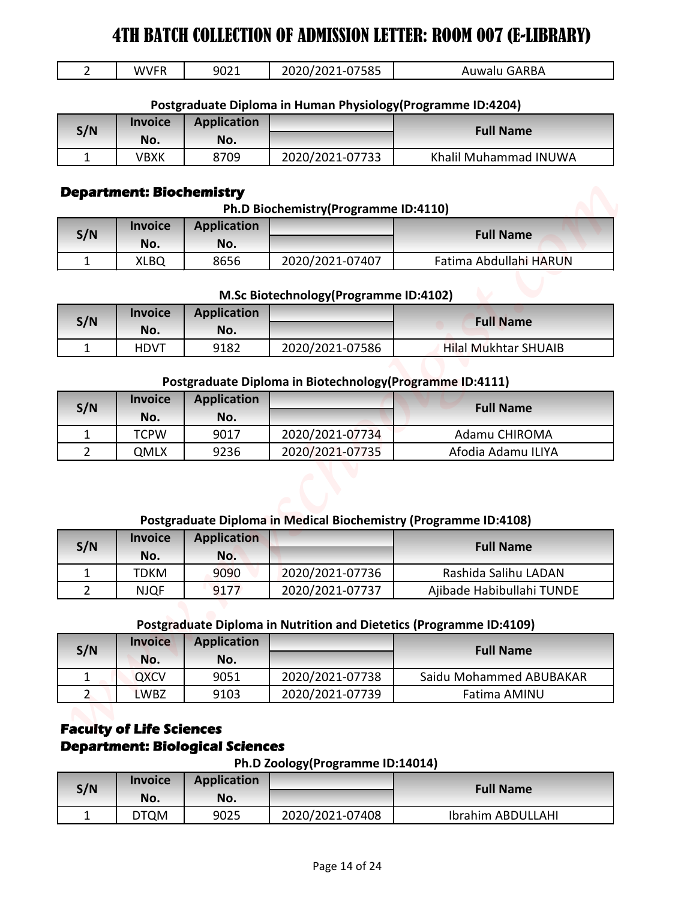| ---<br>-<br>W.<br>$\mathbf{v}$<br>. | 9021 | 75 O.F<br>כסכי<br>. .<br>_____ | <b>\RBA</b><br>1 I W<br>-<br>¬∟ |
|-------------------------------------|------|--------------------------------|---------------------------------|
|                                     |      |                                |                                 |

#### **Postgraduate Diploma in Human Physiology(Programme ID:4204)**

| S/N | <b>Invoice</b> | <b>Application</b> |                 | <b>Full Name</b>      |
|-----|----------------|--------------------|-----------------|-----------------------|
|     | No.            | No.                |                 |                       |
|     | VBXK           | 8709               | 2020/2021-07733 | Khalil Muhammad INUWA |

#### **Department: Biochemistry**

**Ph.D Biochemistry(Programme ID:4110)**

| S/N | <b>Invoice</b><br>No. | <b>Application</b><br>No. |                 | <b>Full Name</b>       |
|-----|-----------------------|---------------------------|-----------------|------------------------|
|     | XLBQ                  | 8656                      | 2020/2021-07407 | Fatima Abdullahi HARUN |

#### **M.Sc Biotechnology(Programme ID:4102)**

| S/N | <b>Invoice</b> | <b>Application</b> |                 | <b>Full Name</b>            |
|-----|----------------|--------------------|-----------------|-----------------------------|
|     | No.            | No.                |                 |                             |
|     | <b>HDVT</b>    | 9182               | 2020/2021-07586 | <b>Hilal Mukhtar SHUAIB</b> |

#### **Postgraduate Diploma in Biotechnology(Programme ID:4111)**

| S/N | <b>Invoice</b><br>No. | <b>Application</b><br>No. |                 | <b>Full Name</b>   |
|-----|-----------------------|---------------------------|-----------------|--------------------|
|     | <b>TCPW</b>           | 9017                      | 2020/2021-07734 | Adamu CHIROMA      |
|     | QMLX                  | 9236                      | 2020/2021-07735 | Afodia Adamu ILIYA |

#### **Postgraduate Diploma in Medical Biochemistry (Programme ID:4108)**

| S/N | <b>Invoice</b> | <b>Application</b> |                 | <b>Full Name</b>          |
|-----|----------------|--------------------|-----------------|---------------------------|
|     | No.            | No.                |                 |                           |
|     | TDKM           | 9090               | 2020/2021-07736 | Rashida Salihu LADAN      |
|     | <b>NJQF</b>    | 9177               | 2020/2021-07737 | Ajibade Habibullahi TUNDE |

#### **Postgraduate Diploma in Nutrition and Dietetics (Programme ID:4109)**

| 9021<br><b>Application</b><br>No.<br>8709<br><b>Department: Biochemistry</b><br><b>Application</b><br>No. | 2020/2021-07585<br>Postgraduate Diploma in Human Physiology (Programme ID:4204)<br>2020/2021-07733<br>Ph.D Biochemistry(Programme ID:4110) | Auwalu GARBA<br><b>Full Name</b><br>Khalil Muhammad INUWA                                                                                                                                 |
|-----------------------------------------------------------------------------------------------------------|--------------------------------------------------------------------------------------------------------------------------------------------|-------------------------------------------------------------------------------------------------------------------------------------------------------------------------------------------|
|                                                                                                           |                                                                                                                                            |                                                                                                                                                                                           |
|                                                                                                           |                                                                                                                                            |                                                                                                                                                                                           |
|                                                                                                           |                                                                                                                                            |                                                                                                                                                                                           |
|                                                                                                           |                                                                                                                                            |                                                                                                                                                                                           |
|                                                                                                           |                                                                                                                                            |                                                                                                                                                                                           |
|                                                                                                           |                                                                                                                                            |                                                                                                                                                                                           |
|                                                                                                           |                                                                                                                                            |                                                                                                                                                                                           |
|                                                                                                           |                                                                                                                                            |                                                                                                                                                                                           |
|                                                                                                           |                                                                                                                                            | <b>Full Name</b>                                                                                                                                                                          |
|                                                                                                           |                                                                                                                                            |                                                                                                                                                                                           |
| 8656                                                                                                      | 2020/2021-07407                                                                                                                            | Fatima Abdullahi HARUN                                                                                                                                                                    |
|                                                                                                           |                                                                                                                                            |                                                                                                                                                                                           |
| <b>Application</b>                                                                                        |                                                                                                                                            | <b>Full Name</b>                                                                                                                                                                          |
| No.                                                                                                       |                                                                                                                                            |                                                                                                                                                                                           |
| 9182                                                                                                      |                                                                                                                                            | <b>Hilal Mukhtar SHUAIB</b>                                                                                                                                                               |
|                                                                                                           |                                                                                                                                            |                                                                                                                                                                                           |
|                                                                                                           |                                                                                                                                            |                                                                                                                                                                                           |
|                                                                                                           |                                                                                                                                            | <b>Full Name</b>                                                                                                                                                                          |
| 9017                                                                                                      | 2020/2021-07734                                                                                                                            | Adamu CHIROMA                                                                                                                                                                             |
| 9236                                                                                                      | 2020/2021-07735                                                                                                                            | Afodia Adamu ILIYA                                                                                                                                                                        |
| <b>Application</b>                                                                                        |                                                                                                                                            | <b>Full Name</b>                                                                                                                                                                          |
|                                                                                                           |                                                                                                                                            |                                                                                                                                                                                           |
| No.                                                                                                       |                                                                                                                                            |                                                                                                                                                                                           |
| 9090                                                                                                      | 2020/2021-07736                                                                                                                            | Rashida Salihu LADAN                                                                                                                                                                      |
| 9177                                                                                                      | 2020/2021-07737                                                                                                                            | Ajibade Habibullahi TUNDE                                                                                                                                                                 |
|                                                                                                           |                                                                                                                                            |                                                                                                                                                                                           |
|                                                                                                           | Postgraduate Diploma in Nutrition and Dietetics (Programme ID:4109)                                                                        |                                                                                                                                                                                           |
| <b>Application</b>                                                                                        |                                                                                                                                            | <b>Full Name</b>                                                                                                                                                                          |
| No.<br>9051                                                                                               | 2020/2021-07738                                                                                                                            | Saidu Mohammed ABUBAKAR                                                                                                                                                                   |
|                                                                                                           | <b>Application</b><br>No.                                                                                                                  | M.Sc Biotechnology(Programme ID:4102)<br>2020/2021-07586<br>Postgraduate Diploma in Biotechnology (Programme ID:4111)<br>Postgraduate Diploma in Medical Biochemistry (Programme ID:4108) |

# **Faculty of Life Sciences Department: Biological Sciences**

#### **Ph.D Zoology(Programme ID:14014)**

| S/N | <b>Invoice</b><br>No. | <b>Application</b><br>No. |                 | <b>Full Name</b>  |
|-----|-----------------------|---------------------------|-----------------|-------------------|
|     | `QM<br>DT             | 9025                      | 2020/2021-07408 | Ibrahim ABDULLAHI |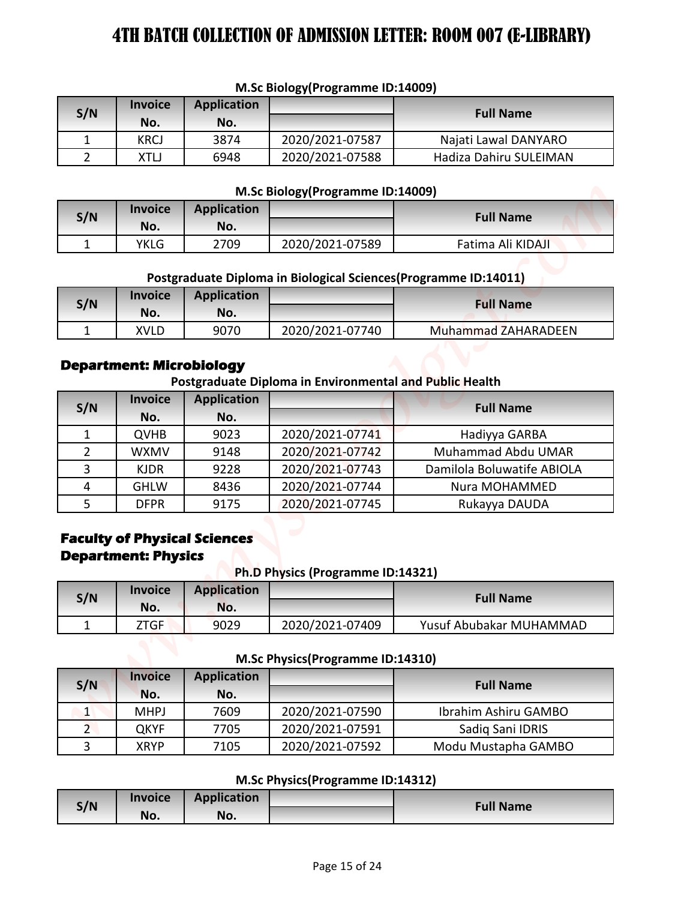|     | $\cdots$       |                    |                 |                        |  |  |
|-----|----------------|--------------------|-----------------|------------------------|--|--|
| S/N | <b>Invoice</b> | <b>Application</b> |                 | <b>Full Name</b>       |  |  |
|     | No.            | No.                |                 |                        |  |  |
|     | KRCJ           | 3874               | 2020/2021-07587 | Najati Lawal DANYARO   |  |  |
|     | XTLJ           | 6948               | 2020/2021-07588 | Hadiza Dahiru SULEIMAN |  |  |

#### **M.Sc Biology(Programme ID:14009)**

#### **M.Sc Biology(Programme ID:14009)**

| S/N | <b>Invoice</b><br>No. | <b>Application</b><br>No. |                 | <b>Full Name</b>  |
|-----|-----------------------|---------------------------|-----------------|-------------------|
|     | YKLG                  | 2709                      | 2020/2021-07589 | Fatima Ali KIDAJI |

# **Postgraduate Diploma in Biological Sciences(Programme ID:14011)**

| S/N | <b>Invoice</b><br>No. | <b>Application</b><br>No. |                 | <b>Full Name</b>    |
|-----|-----------------------|---------------------------|-----------------|---------------------|
|     | <b>XVLD</b>           | 9070                      | 2020/2021-07740 | Muhammad ZAHARADEEN |

#### **Department: Microbiology**

|                     |                                                                    |                                                                          | M.Sc Biology(Programme ID:14009)                                 |                                             |
|---------------------|--------------------------------------------------------------------|--------------------------------------------------------------------------|------------------------------------------------------------------|---------------------------------------------|
| S/N                 | <b>Invoice</b>                                                     | <b>Application</b>                                                       |                                                                  | <b>Full Name</b>                            |
|                     | No.                                                                | No.                                                                      |                                                                  |                                             |
| 1                   | <b>KRCJ</b>                                                        | 3874                                                                     | 2020/2021-07587                                                  | Najati Lawal DANYARO                        |
| $\overline{2}$      | <b>XTLJ</b>                                                        | 6948                                                                     | 2020/2021-07588                                                  | Hadiza Dahiru SULEIMAN                      |
|                     |                                                                    |                                                                          | M.Sc Biology (Programme ID:14009)                                |                                             |
|                     | <b>Invoice</b>                                                     | <b>Application</b>                                                       |                                                                  |                                             |
| S/N                 | No.                                                                | No.                                                                      |                                                                  | <b>Full Name</b>                            |
| $\mathbf{1}$        | <b>YKLG</b>                                                        | 2709                                                                     | 2020/2021-07589                                                  | Fatima Ali KIDAJI                           |
|                     |                                                                    |                                                                          |                                                                  |                                             |
|                     |                                                                    |                                                                          | Postgraduate Diploma in Biological Sciences (Programme ID:14011) |                                             |
| S/N                 | <b>Invoice</b>                                                     | <b>Application</b>                                                       |                                                                  | <b>Full Name</b>                            |
|                     | No.                                                                | No.                                                                      |                                                                  |                                             |
| 1                   | <b>XVLD</b>                                                        | 9070                                                                     | 2020/2021-07740                                                  | Muhammad ZAHARADEEN                         |
| S/N                 | <b>Invoice</b><br>No.                                              | <b>Application</b><br>No.                                                | Postgraduate Diploma in Environmental and Public Health          | <b>Full Name</b>                            |
| $\mathbf{1}$        | <b>QVHB</b>                                                        | 9023                                                                     | 2020/2021-07741                                                  | Hadiyya GARBA                               |
|                     | <b>WXMV</b>                                                        | 9148                                                                     | 2020/2021-07742                                                  | Muhammad Abdu UMAR                          |
| $\overline{2}$      |                                                                    |                                                                          |                                                                  |                                             |
| 3                   | <b>KJDR</b>                                                        | 9228                                                                     | 2020/2021-07743                                                  | Damilola Boluwatife ABIOLA                  |
| 4                   | <b>GHLW</b>                                                        | 8436                                                                     | 2020/2021-07744                                                  | Nura MOHAMMED                               |
| 5                   | <b>DFPR</b>                                                        | 9175                                                                     | 2020/2021-07745                                                  | Rukayya DAUDA                               |
| S/N<br>$\mathbf{1}$ | <b>Department: Physics</b><br><b>Invoice</b><br>No.<br><b>ZTGF</b> | <b>Faculty of Physical Sciences</b><br><b>Application</b><br>No.<br>9029 | Ph.D Physics (Programme ID:14321)<br>2020/2021-07409             | <b>Full Name</b><br>Yusuf Abubakar MUHAMMAD |
|                     |                                                                    |                                                                          | M.Sc Physics(Programme ID:14310)                                 |                                             |
| S/N                 | <b>Invoice</b>                                                     | <b>Application</b>                                                       |                                                                  | <b>Full Name</b>                            |
|                     | No.                                                                | No.                                                                      |                                                                  |                                             |
| $\vert$             | <b>MHPJ</b>                                                        | 7609                                                                     | 2020/2021-07590                                                  | Ibrahim Ashiru GAMBO                        |
| 2 <sup>1</sup>      | <b>QKYF</b>                                                        | 7705                                                                     | 2020/2021-07591                                                  | Sadiq Sani IDRIS                            |
| $\overline{3}$      | <b>XRYP</b>                                                        | 7105                                                                     | 2020/2021-07592                                                  | Modu Mustapha GAMBO                         |
|                     |                                                                    |                                                                          | M.Sc Physics(Programme ID:14312)                                 |                                             |
| S/N                 | <b>Invoice</b><br>No.                                              | <b>Application</b><br>No.                                                |                                                                  | <b>Full Name</b>                            |

# **Faculty of Physical Sciences Department: Physics**

**Ph.D Physics (Programme ID:14321)**

| S/N | <b>Invoice</b> | <b>Application</b> |                 | <b>Full Name</b>        |
|-----|----------------|--------------------|-----------------|-------------------------|
|     | No.            | No.                |                 |                         |
|     | ZTGF           | 9029               | 2020/2021-07409 | Yusuf Abubakar MUHAMMAD |

**M.Sc Physics(Programme ID:14310)**

| S/N | <b>Invoice</b><br>No. | <b>Application</b><br>No. |                 | <b>Full Name</b>     |
|-----|-----------------------|---------------------------|-----------------|----------------------|
|     | <b>MHPJ</b>           | 7609                      | 2020/2021-07590 | Ibrahim Ashiru GAMBO |
|     | QKYF                  | 7705                      | 2020/2021-07591 | Sadiq Sani IDRIS     |
|     | <b>XRYP</b>           | 7105                      | 2020/2021-07592 | Modu Mustapha GAMBO  |

#### **M.Sc Physics(Programme ID:14312)**

|     | <b>Invoice</b> | <b>Application</b> |                  |
|-----|----------------|--------------------|------------------|
| S/N |                |                    | <b>Full Name</b> |
|     | No.            | No.                |                  |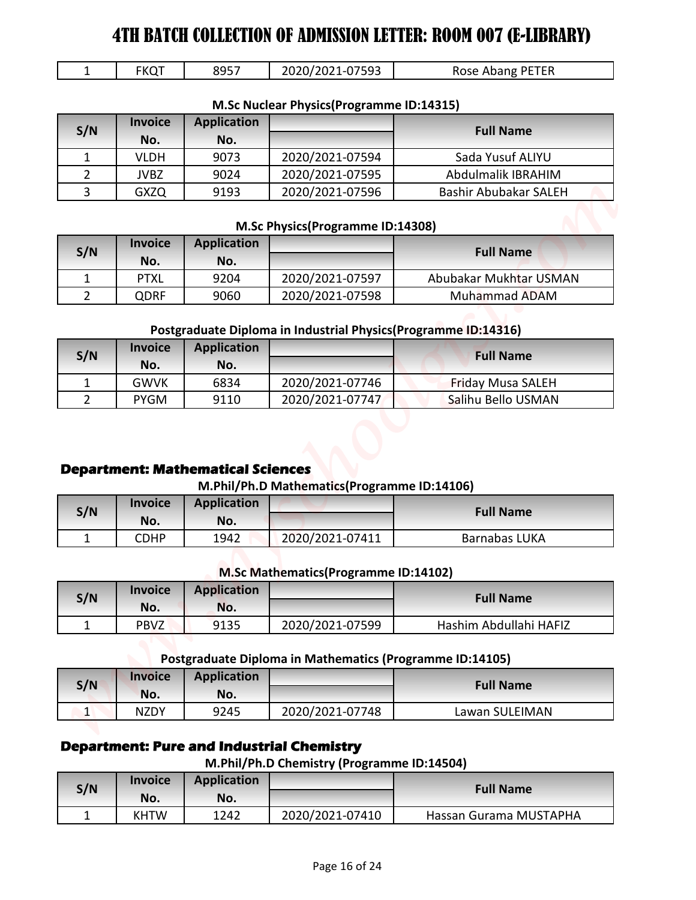| <b>FKQT</b> | 8957 | 2020/2021-07593 | Rose Abang PETER |
|-------------|------|-----------------|------------------|

|  | M.Sc Nuclear Physics(Programme ID:14315) |  |
|--|------------------------------------------|--|
|--|------------------------------------------|--|

| 4TH BATCH COLLECTION OF ADMISSION LETTER: ROOM 007 (E-LIBRARY) |                            |                                          |                                                                                                |                                                |
|----------------------------------------------------------------|----------------------------|------------------------------------------|------------------------------------------------------------------------------------------------|------------------------------------------------|
| $\mathbf{1}$                                                   | <b>FKQT</b>                | 8957                                     | 2020/2021-07593                                                                                | Rose Abang PETER                               |
|                                                                |                            |                                          | M.Sc Nuclear Physics(Programme ID:14315)                                                       |                                                |
|                                                                | <b>Invoice</b>             | <b>Application</b>                       |                                                                                                |                                                |
| S/N                                                            | No.                        | No.                                      |                                                                                                | <b>Full Name</b>                               |
| $\mathbf{1}$                                                   | <b>VLDH</b>                | 9073                                     | 2020/2021-07594                                                                                | Sada Yusuf ALIYU                               |
| $\overline{2}$                                                 | <b>JVBZ</b>                | 9024                                     | 2020/2021-07595                                                                                | Abdulmalik IBRAHIM                             |
| 3                                                              | <b>GXZQ</b>                | 9193                                     | 2020/2021-07596                                                                                | <b>Bashir Abubakar SALEH</b>                   |
|                                                                |                            |                                          | M.Sc Physics(Programme ID:14308)                                                               |                                                |
|                                                                | <b>Invoice</b>             | <b>Application</b>                       |                                                                                                |                                                |
| S/N                                                            | No.                        | No.                                      |                                                                                                | <b>Full Name</b>                               |
| $\mathbf{1}$                                                   | <b>PTXL</b>                | 9204                                     | 2020/2021-07597                                                                                | Abubakar Mukhtar USMAN                         |
| $\overline{2}$                                                 | QDRF                       | 9060                                     | 2020/2021-07598                                                                                | Muhammad ADAM                                  |
|                                                                |                            |                                          | Postgraduate Diploma in Industrial Physics(Programme ID:14316)                                 |                                                |
| S/N                                                            | <b>Invoice</b>             | <b>Application</b>                       |                                                                                                | <b>Full Name</b>                               |
|                                                                | No.                        | No.                                      |                                                                                                |                                                |
|                                                                |                            |                                          |                                                                                                |                                                |
| $\mathbf{1}$<br>$\overline{2}$                                 | <b>GWVK</b><br><b>PYGM</b> | 6834<br>9110                             | 2020/2021-07746<br>2020/2021-07747                                                             | <b>Friday Musa SALEH</b><br>Salihu Bello USMAN |
|                                                                |                            | <b>Department: Mathematical Sciences</b> | M.Phil/Ph.D Mathematics(Programme ID:14106)                                                    |                                                |
|                                                                | <b>Invoice</b>             | <b>Application</b>                       |                                                                                                |                                                |
| S/N                                                            | No.                        | No.                                      |                                                                                                | <b>Full Name</b>                               |
| $\mathbf{1}$                                                   | <b>CDHP</b>                | 1942                                     | 2020/2021-07411                                                                                | <b>Barnabas LUKA</b>                           |
|                                                                |                            |                                          | M.Sc Mathematics (Programme ID:14102)                                                          |                                                |
|                                                                | <b>Invoice</b>             | <b>Application</b>                       |                                                                                                |                                                |
| S/N                                                            | No.                        | No.                                      |                                                                                                | <b>Full Name</b>                               |
| $\mathbf{1}$                                                   | <b>PBVZ</b>                | 9135                                     | 2020/2021-07599                                                                                | Hashim Abdullahi HAFIZ                         |
|                                                                |                            |                                          |                                                                                                |                                                |
|                                                                | <b>Invoice</b>             | <b>Application</b>                       | Postgraduate Diploma in Mathematics (Programme ID:14105)                                       |                                                |
| S/N                                                            | No.                        | No.                                      |                                                                                                | <b>Full Name</b>                               |
| $\vert$ 1                                                      | <b>NZDY</b>                | 9245                                     | 2020/2021-07748                                                                                | Lawan SULEIMAN                                 |
|                                                                |                            |                                          | <b>Department: Pure and Industrial Chemistry</b><br>M.Phil/Ph.D Chemistry (Programme ID:14504) |                                                |
|                                                                | <b>Invoice</b>             | <b>Application</b>                       |                                                                                                | <b>Full Name</b>                               |
| S/N<br>$\mathbf{1}$                                            | No.<br><b>KHTW</b>         | No.<br>1242                              | 2020/2021-07410                                                                                | Hassan Gurama MUSTAPHA                         |

#### **M.Sc Physics(Programme ID:14308)**

| S/N | <b>Invoice</b><br>No. | <b>Application</b><br>No. |                 | <b>Full Name</b>       |
|-----|-----------------------|---------------------------|-----------------|------------------------|
|     | PTXL                  | 9204                      | 2020/2021-07597 | Abubakar Mukhtar USMAN |
|     | QDRF                  | 9060                      | 2020/2021-07598 | Muhammad ADAM          |

### **Postgraduate Diploma in Industrial Physics(Programme ID:14316)**

| S/N | <b>Invoice</b><br>No. | <b>Application</b><br>No. |                 | <b>Full Name</b>         |
|-----|-----------------------|---------------------------|-----------------|--------------------------|
|     | <b>GWVK</b>           | 6834                      | 2020/2021-07746 | <b>Friday Musa SALEH</b> |
|     | <b>PYGM</b>           | 9110                      | 2020/2021-07747 | Salihu Bello USMAN       |

### **Department: Mathematical Sciences**

#### **M.Phil/Ph.D Mathematics(Programme ID:14106)**

| S/N | <b>Invoice</b> | <b>Application</b> |                 | <b>Full Name</b> |
|-----|----------------|--------------------|-----------------|------------------|
|     | No.            | No.                |                 |                  |
|     | CDHP           | 1942               | 2020/2021-07411 | Barnabas LUKA    |

#### **M.Sc Mathematics(Programme ID:14102)**

| S/N | <b>Invoice</b><br>No. | <b>Application</b><br>No. |                 | <b>Full Name</b>       |
|-----|-----------------------|---------------------------|-----------------|------------------------|
|     | <b>PBVZ</b>           | 9135                      | 2020/2021-07599 | Hashim Abdullahi HAFIZ |

### **Postgraduate Diploma in Mathematics (Programme ID:14105)**

| S/N           | <b>Invoice</b><br>No. | Application<br>No. |                 | <b>Full Name</b> |
|---------------|-----------------------|--------------------|-----------------|------------------|
| A<br><b>.</b> | <b>NZDY</b>           | 9245               | 2020/2021-07748 | Lawan SULEIMAN   |

# **Department: Pure and Industrial Chemistry**

### **M.Phil/Ph.D Chemistry (Programme ID:14504)**

| S/N | <b>Invoice</b><br>No. | <b>Application</b><br>No. |                 | <b>Full Name</b>       |
|-----|-----------------------|---------------------------|-----------------|------------------------|
|     | <b>KHTW</b>           | 1242                      | 2020/2021-07410 | Hassan Gurama MUSTAPHA |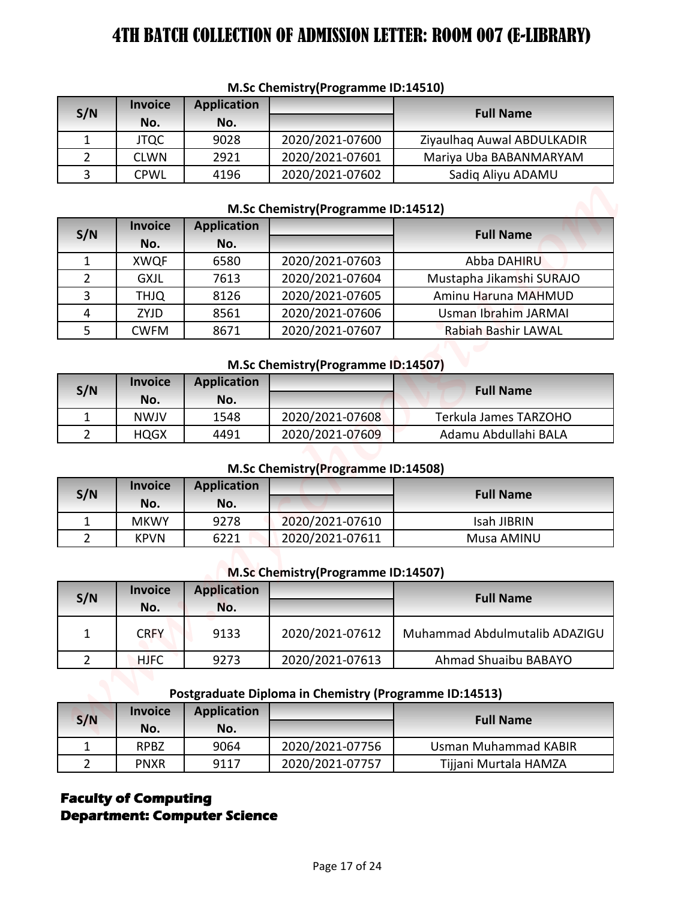| S/N | <b>Invoice</b><br>No. | Application<br>No. |                 | <b>Full Name</b>           |
|-----|-----------------------|--------------------|-----------------|----------------------------|
|     | <b>JTQC</b>           | 9028               | 2020/2021-07600 | Ziyaulhaq Auwal ABDULKADIR |
|     | <b>CLWN</b>           | 2921               | 2020/2021-07601 | Mariya Uba BABANMARYAM     |
|     | <b>CPWL</b>           | 4196               | 2020/2021-07602 | Sadig Aliyu ADAMU          |

#### **M.Sc Chemistry(Programme ID:14510)**

#### **M.Sc Chemistry(Programme ID:14512)**

| M.Sc Chemistry(Programme ID:14510) |                            |                           |                                                        |                                                      |  |  |  |
|------------------------------------|----------------------------|---------------------------|--------------------------------------------------------|------------------------------------------------------|--|--|--|
| S/N                                | <b>Invoice</b>             | <b>Application</b>        |                                                        | <b>Full Name</b>                                     |  |  |  |
|                                    | No.                        | No.                       |                                                        |                                                      |  |  |  |
| 1<br>$\overline{2}$                | <b>JTQC</b><br><b>CLWN</b> | 9028<br>2921              | 2020/2021-07600<br>2020/2021-07601                     | Ziyaulhaq Auwal ABDULKADIR<br>Mariya Uba BABANMARYAM |  |  |  |
| 3                                  | <b>CPWL</b>                | 4196                      | 2020/2021-07602                                        | Sadiq Aliyu ADAMU                                    |  |  |  |
|                                    |                            |                           |                                                        |                                                      |  |  |  |
|                                    |                            |                           | M.Sc Chemistry(Programme ID:14512)                     |                                                      |  |  |  |
| S/N                                | <b>Invoice</b>             | <b>Application</b>        |                                                        | <b>Full Name</b>                                     |  |  |  |
|                                    | No.                        | No.                       |                                                        |                                                      |  |  |  |
| 1                                  | <b>XWQF</b>                | 6580                      | 2020/2021-07603                                        | <b>Abba DAHIRU</b>                                   |  |  |  |
| $\overline{2}$                     | <b>GXJL</b>                | 7613                      | 2020/2021-07604                                        | Mustapha Jikamshi SURAJO                             |  |  |  |
| 3                                  | <b>THJQ</b>                | 8126                      | 2020/2021-07605                                        | Aminu Haruna MAHMUD                                  |  |  |  |
| 4                                  | ZYJD                       | 8561                      | 2020/2021-07606                                        | Usman Ibrahim JARMAI                                 |  |  |  |
| 5                                  | <b>CWFM</b>                | 8671                      | 2020/2021-07607                                        | <b>Rabiah Bashir LAWAL</b>                           |  |  |  |
|                                    |                            |                           | M.Sc Chemistry(Programme ID:14507)                     |                                                      |  |  |  |
| S/N                                | <b>Invoice</b>             | <b>Application</b>        |                                                        | <b>Full Name</b>                                     |  |  |  |
|                                    | No.                        | No.                       |                                                        |                                                      |  |  |  |
| $\mathbf{1}$                       | <b>NWJV</b>                | 1548                      | 2020/2021-07608                                        | Terkula James TARZOHO                                |  |  |  |
| $\overline{2}$                     | <b>HQGX</b>                | 4491                      | 2020/2021-07609                                        | Adamu Abdullahi BALA                                 |  |  |  |
|                                    |                            |                           | M.Sc Chemistry(Programme ID:14508)                     |                                                      |  |  |  |
|                                    | <b>Invoice</b>             | <b>Application</b>        |                                                        |                                                      |  |  |  |
| S/N                                | No.                        | No.                       |                                                        | <b>Full Name</b>                                     |  |  |  |
| $\mathbf{1}$                       | <b>MKWY</b>                | 9278                      | 2020/2021-07610                                        | Isah JIBRIN                                          |  |  |  |
| $\overline{2}$                     | <b>KPVN</b>                | 6221                      | 2020/2021-07611                                        | Musa AMINU                                           |  |  |  |
|                                    |                            |                           |                                                        |                                                      |  |  |  |
|                                    |                            |                           | M.Sc Chemistry (Programme ID:14507)                    |                                                      |  |  |  |
| S/N                                | <b>Invoice</b><br>No.      | <b>Application</b><br>No. |                                                        | <b>Full Name</b>                                     |  |  |  |
| $\mathbf{1}$                       | <b>CRFY</b>                | 9133                      | 2020/2021-07612                                        | Muhammad Abdulmutalib ADAZIGU                        |  |  |  |
| $\overline{2}$                     | <b>HJFC</b>                | 9273                      | 2020/2021-07613                                        | Ahmad Shuaibu BABAYO                                 |  |  |  |
|                                    |                            |                           |                                                        |                                                      |  |  |  |
|                                    |                            |                           | Postgraduate Diploma in Chemistry (Programme ID:14513) |                                                      |  |  |  |
| S/N                                | <b>Invoice</b>             | <b>Application</b>        |                                                        | <b>Full Name</b>                                     |  |  |  |
|                                    | No.                        | No.                       |                                                        |                                                      |  |  |  |
| $\mathbf{1}$<br>$\overline{2}$     | <b>RPBZ</b>                | 9064                      | 2020/2021-07756                                        | <b>Usman Muhammad KABIR</b>                          |  |  |  |
|                                    | <b>PNXR</b>                | 9117                      | 2020/2021-07757                                        | Tijjani Murtala HAMZA                                |  |  |  |

#### **M.Sc Chemistry(Programme ID:14507)**

| S/N | <b>Invoice</b><br>No. | <b>Application</b><br>No. |                 | <b>Full Name</b>      |
|-----|-----------------------|---------------------------|-----------------|-----------------------|
|     | <b>NWJV</b>           | 1548                      | 2020/2021-07608 | Terkula James TARZOHO |
|     | <b>HQGX</b>           | 4491                      | 2020/2021-07609 | Adamu Abdullahi BALA  |

#### **M.Sc Chemistry(Programme ID:14508)**

| S/N | <b>Invoice</b> | <b>Application</b> |                 | <b>Full Name</b> |
|-----|----------------|--------------------|-----------------|------------------|
|     | No.            | No.                |                 |                  |
|     | <b>MKWY</b>    | 9278               | 2020/2021-07610 | Isah JIBRIN      |
|     | <b>KPVN</b>    | 6221               | 2020/2021-07611 | Musa AMINU       |

### **M.Sc Chemistry(Programme ID:14507)**

| S/N | <b>Invoice</b><br>No. | <b>Application</b><br>No. |                 | <b>Full Name</b>              |
|-----|-----------------------|---------------------------|-----------------|-------------------------------|
|     | <b>CRFY</b>           | 9133                      | 2020/2021-07612 | Muhammad Abdulmutalib ADAZIGU |
|     | <b>HJFC</b>           | 9273                      | 2020/2021-07613 | Ahmad Shuaibu BABAYO          |

#### **Postgraduate Diploma in Chemistry (Programme ID:14513)**

| S/N | <b>Invoice</b><br>No. | <b>Application</b><br>No. |                 | <b>Full Name</b>      |
|-----|-----------------------|---------------------------|-----------------|-----------------------|
|     | <b>RPBZ</b>           | 9064                      | 2020/2021-07756 | Usman Muhammad KABIR  |
|     | <b>PNXR</b>           | 9117                      | 2020/2021-07757 | Tijjani Murtala HAMZA |

# **Faculty of Computing Department: Computer Science**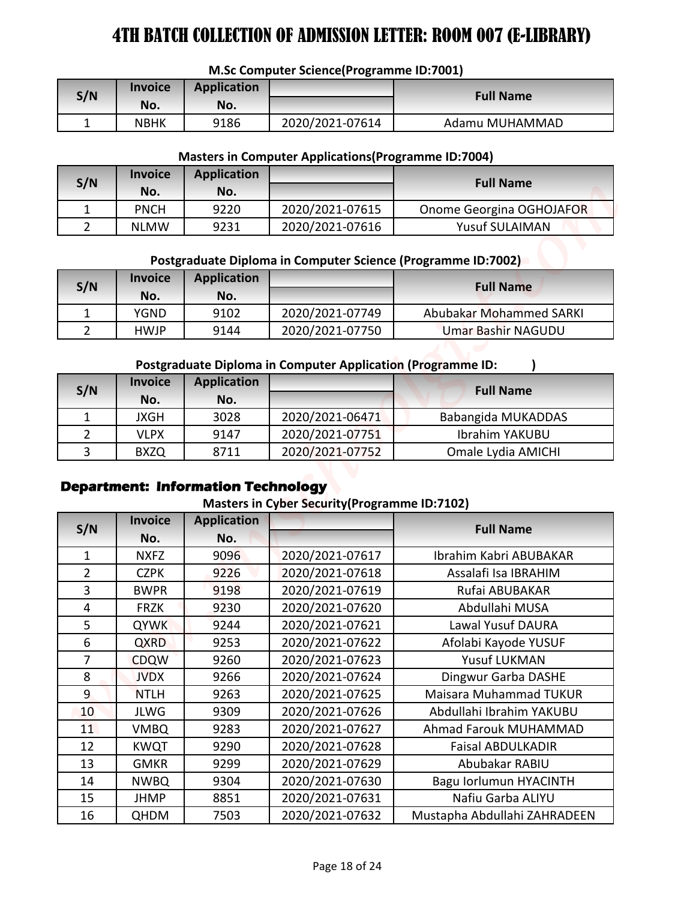#### **M.Sc Computer Science(Programme ID:7001)**

| S/N | <b>Invoice</b><br>No. | <b>Application</b><br>No. |                 | <b>Full Name</b> |
|-----|-----------------------|---------------------------|-----------------|------------------|
| -   | NBHK                  | 9186                      | 2020/2021-07614 | Adamu MUHAMMAD   |

#### **Masters in Computer Applications(Programme ID:7004)**

| S/N | <b>Invoice</b><br>No. | <b>Application</b><br>No. |                 | <b>Full Name</b>         |
|-----|-----------------------|---------------------------|-----------------|--------------------------|
|     | <b>PNCH</b>           | 9220                      | 2020/2021-07615 | Onome Georgina OGHOJAFOR |
|     | <b>NLMW</b>           | 9231                      | 2020/2021-07616 | <b>Yusuf SULAIMAN</b>    |

### **Postgraduate Diploma in Computer Science (Programme ID:7002)**

| S/N | <b>Invoice</b><br>No. | <b>Application</b><br>No. |                 | <b>Full Name</b>               |
|-----|-----------------------|---------------------------|-----------------|--------------------------------|
|     | YGND                  | 9102                      | 2020/2021-07749 | <b>Abubakar Mohammed SARKI</b> |
|     | <b>HWJP</b>           | 9144                      | 2020/2021-07750 | <b>Umar Bashir NAGUDU</b>      |

#### **Postgraduate Diploma in Computer Application (Programme ID: )**

| S/N | <b>Invoice</b><br>No. | <b>Application</b><br>No. |                 | <b>Full Name</b>      |
|-----|-----------------------|---------------------------|-----------------|-----------------------|
|     | JXGH                  | 3028                      | 2020/2021-06471 | Babangida MUKADDAS    |
|     | VLPX                  | 9147                      | 2020/2021-07751 | <b>Ibrahim YAKUBU</b> |
|     | <b>BXZQ</b>           | 8711                      | 2020/2021-07752 | Omale Lydia AMICHI    |

# **Department: Information Technology**

#### **Masters in Cyber Security(Programme ID:7102)**

|                                  |                            |                                           | M.Sc Computer Science(Programme ID:7001)                           |                                        |
|----------------------------------|----------------------------|-------------------------------------------|--------------------------------------------------------------------|----------------------------------------|
| S/N                              | <b>Invoice</b>             | <b>Application</b>                        |                                                                    | <b>Full Name</b>                       |
|                                  | No.                        | No.                                       |                                                                    |                                        |
| $\mathbf{1}$                     | <b>NBHK</b>                | 9186                                      | 2020/2021-07614                                                    | Adamu MUHAMMAD                         |
|                                  |                            |                                           | <b>Masters in Computer Applications (Programme ID:7004)</b>        |                                        |
| S/N                              | <b>Invoice</b>             | <b>Application</b>                        |                                                                    | <b>Full Name</b>                       |
|                                  | No.                        | No.                                       |                                                                    |                                        |
| 1                                | <b>PNCH</b>                | 9220                                      | 2020/2021-07615                                                    | Onome Georgina OGHOJAFOR               |
| $\overline{2}$                   | <b>NLMW</b>                | 9231                                      | 2020/2021-07616                                                    | <b>Yusuf SULAIMAN</b>                  |
|                                  |                            |                                           | Postgraduate Diploma in Computer Science (Programme ID:7002)       |                                        |
|                                  | <b>Invoice</b>             | <b>Application</b>                        |                                                                    |                                        |
| S/N                              | No.                        | No.                                       |                                                                    | <b>Full Name</b>                       |
| $\mathbf{1}$                     | <b>YGND</b>                | 9102                                      | 2020/2021-07749                                                    | <b>Abubakar Mohammed SARKI</b>         |
| $\overline{2}$                   | <b>HWJP</b>                | 9144                                      | 2020/2021-07750                                                    | <b>Umar Bashir NAGUDU</b>              |
|                                  |                            |                                           |                                                                    |                                        |
|                                  | <b>Invoice</b>             | <b>Application</b>                        | <b>Postgraduate Diploma in Computer Application (Programme ID:</b> |                                        |
| S/N                              | No.                        | No.                                       |                                                                    | <b>Full Name</b>                       |
| $\mathbf{1}$                     | <b>JXGH</b>                | 3028                                      | 2020/2021-06471                                                    | Babangida MUKADDAS                     |
| $\overline{2}$                   | <b>VLPX</b>                | 9147                                      | 2020/2021-07751                                                    | Ibrahim YAKUBU                         |
|                                  |                            |                                           |                                                                    |                                        |
| 3                                | <b>BXZQ</b>                | 8711                                      | 2020/2021-07752                                                    | Omale Lydia AMICHI                     |
|                                  |                            | <b>Department: Information Technology</b> | <b>Masters in Cyber Security (Programme ID:7102)</b>               |                                        |
|                                  | <b>Invoice</b>             | <b>Application</b>                        |                                                                    | <b>Full Name</b>                       |
|                                  | No.                        | No.                                       |                                                                    |                                        |
| 1                                | <b>NXFZ</b>                | 9096                                      | 2020/2021-07617                                                    | Ibrahim Kabri ABUBAKAR                 |
| $\overline{2}$<br>$\overline{3}$ | <b>CZPK</b><br><b>BWPR</b> | 9226<br>9198                              | 2020/2021-07618<br>2020/2021-07619                                 | Assalafi Isa IBRAHIM<br>Rufai ABUBAKAR |
| $\overline{4}$                   | <b>FRZK</b>                | 9230                                      | 2020/2021-07620                                                    | Abdullahi MUSA                         |
| 5                                | <b>QYWK</b>                | 9244                                      | 2020/2021-07621                                                    | Lawal Yusuf DAURA                      |
| 6                                | <b>QXRD</b>                | 9253                                      | 2020/2021-07622                                                    | Afolabi Kayode YUSUF                   |
| $\overline{7}$                   | <b>CDQW</b>                | 9260                                      | 2020/2021-07623                                                    | Yusuf LUKMAN                           |
| 8                                | <b>JVDX</b>                | 9266                                      | 2020/2021-07624                                                    | Dingwur Garba DASHE                    |
| 9                                | <b>NTLH</b>                | 9263                                      | 2020/2021-07625                                                    | Maisara Muhammad TUKUR                 |
| 10                               | <b>JLWG</b>                | 9309                                      | 2020/2021-07626                                                    | Abdullahi Ibrahim YAKUBU               |
| 11                               | <b>VMBQ</b>                | 9283                                      | 2020/2021-07627                                                    | Ahmad Farouk MUHAMMAD                  |
| S/N<br>12                        | <b>KWQT</b>                | 9290                                      | 2020/2021-07628                                                    | <b>Faisal ABDULKADIR</b>               |
| 13                               | <b>GMKR</b>                | 9299                                      | 2020/2021-07629                                                    | Abubakar RABIU                         |
| 14                               | <b>NWBQ</b>                | 9304                                      | 2020/2021-07630                                                    | Bagu Iorlumun HYACINTH                 |
| 15<br>16                         | <b>JHMP</b>                | 8851                                      | 2020/2021-07631                                                    | Nafiu Garba ALIYU                      |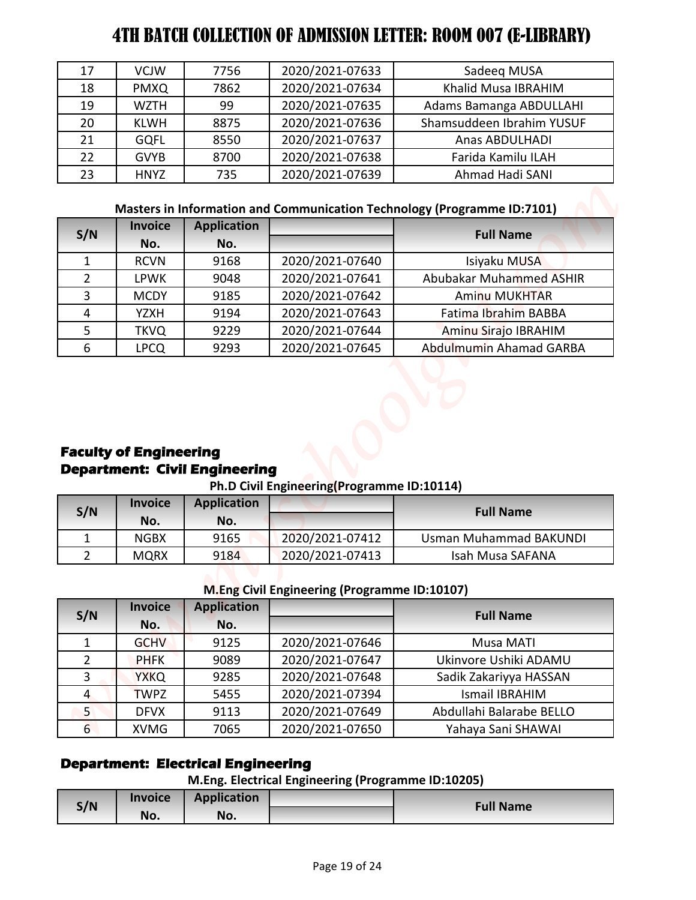| 17 | <b>VCJW</b> | 7756 | 2020/2021-07633 | Sadeeg MUSA               |
|----|-------------|------|-----------------|---------------------------|
| 18 | <b>PMXQ</b> | 7862 | 2020/2021-07634 | Khalid Musa IBRAHIM       |
| 19 | <b>WZTH</b> | 99   | 2020/2021-07635 | Adams Bamanga ABDULLAHI   |
| 20 | <b>KLWH</b> | 8875 | 2020/2021-07636 | Shamsuddeen Ibrahim YUSUF |
| 21 | <b>GQFL</b> | 8550 | 2020/2021-07637 | Anas ABDULHADI            |
| 22 | <b>GVYB</b> | 8700 | 2020/2021-07638 | Farida Kamilu ILAH        |
| 23 | <b>HNYZ</b> | 735  | 2020/2021-07639 | Ahmad Hadi SANI           |

# **Masters in Information and Communication Technology (Programme ID:7101)**

| S/N           | <b>Invoice</b> | <b>Application</b> |                 | <b>Full Name</b>               |
|---------------|----------------|--------------------|-----------------|--------------------------------|
|               | No.            | No.                |                 |                                |
|               | <b>RCVN</b>    | 9168               | 2020/2021-07640 | Isiyaku MUSA                   |
| $\mathcal{P}$ | <b>LPWK</b>    | 9048               | 2020/2021-07641 | <b>Abubakar Muhammed ASHIR</b> |
| 3             | <b>MCDY</b>    | 9185               | 2020/2021-07642 | <b>Aminu MUKHTAR</b>           |
|               | <b>YZXH</b>    | 9194               | 2020/2021-07643 | Fatima Ibrahim BABBA           |
| 5             | <b>TKVQ</b>    | 9229               | 2020/2021-07644 | Aminu Sirajo IBRAHIM           |
| 6             | <b>LPCQ</b>    | 9293               | 2020/2021-07645 | Abdulmumin Ahamad GARBA        |

# **Faculty of Engineering Department: Civil Engineering**

#### **Ph.D Civil Engineering(Programme ID:10114)**

| S/N | <b>Invoice</b> | <b>Application</b> |                 | <b>Full Name</b>       |
|-----|----------------|--------------------|-----------------|------------------------|
|     | No.            | No.                |                 |                        |
|     | <b>NGBX</b>    | 9165               | 2020/2021-07412 | Usman Muhammad BAKUNDI |
|     | <b>MQRX</b>    | 9184               | 2020/2021-07413 | Isah Musa SAFANA       |

#### **M.Eng Civil Engineering (Programme ID:10107)**

| $\overline{2}$<br>$\mathbf{1}$<br>$\overline{2}$<br>3<br>$\overline{4}$<br>5<br>$6^{\circ}$ | Invoice<br>No.<br><b>GCHV</b><br><b>PHFK</b><br><b>YXKQ</b><br><b>TWPZ</b><br><b>DFVX</b><br><b>XVMG</b><br><b>Invoice</b> | <b>Application</b><br>No.<br>9125<br>9089<br>9285<br>5455<br>9113<br>7065<br><b>Department: Electrical Engineering</b><br><b>Application</b> | <b>M.Eng Civil Engineering (Programme ID:10107)</b><br>2020/2021-07646<br>2020/2021-07647<br>2020/2021-07648<br>2020/2021-07394<br>2020/2021-07649<br>2020/2021-07650<br>M.Eng. Electrical Engineering (Programme ID:10205) | <b>Full Name</b><br>Musa MATI<br>Ukinvore Ushiki ADAMU<br>Sadik Zakariyya HASSAN<br><b>Ismail IBRAHIM</b><br>Abdullahi Balarabe BELLO<br>Yahaya Sani SHAWAI |
|---------------------------------------------------------------------------------------------|----------------------------------------------------------------------------------------------------------------------------|----------------------------------------------------------------------------------------------------------------------------------------------|-----------------------------------------------------------------------------------------------------------------------------------------------------------------------------------------------------------------------------|-------------------------------------------------------------------------------------------------------------------------------------------------------------|
|                                                                                             |                                                                                                                            |                                                                                                                                              |                                                                                                                                                                                                                             |                                                                                                                                                             |
| S/N                                                                                         |                                                                                                                            |                                                                                                                                              |                                                                                                                                                                                                                             |                                                                                                                                                             |
|                                                                                             |                                                                                                                            |                                                                                                                                              |                                                                                                                                                                                                                             |                                                                                                                                                             |
|                                                                                             |                                                                                                                            |                                                                                                                                              |                                                                                                                                                                                                                             |                                                                                                                                                             |
|                                                                                             |                                                                                                                            |                                                                                                                                              |                                                                                                                                                                                                                             |                                                                                                                                                             |
|                                                                                             |                                                                                                                            |                                                                                                                                              |                                                                                                                                                                                                                             |                                                                                                                                                             |
|                                                                                             |                                                                                                                            |                                                                                                                                              |                                                                                                                                                                                                                             |                                                                                                                                                             |
|                                                                                             |                                                                                                                            |                                                                                                                                              |                                                                                                                                                                                                                             |                                                                                                                                                             |
|                                                                                             |                                                                                                                            |                                                                                                                                              |                                                                                                                                                                                                                             |                                                                                                                                                             |
|                                                                                             |                                                                                                                            |                                                                                                                                              |                                                                                                                                                                                                                             |                                                                                                                                                             |
|                                                                                             | <b>MQRX</b>                                                                                                                | 9184                                                                                                                                         | 2020/2021-07413                                                                                                                                                                                                             | Isah Musa SAFANA                                                                                                                                            |
| $\mathbf{1}$                                                                                | <b>NGBX</b>                                                                                                                | 9165                                                                                                                                         | 2020/2021-07412                                                                                                                                                                                                             | <b>Usman Muhammad BAKUNDI</b>                                                                                                                               |
|                                                                                             | No.                                                                                                                        | No.                                                                                                                                          |                                                                                                                                                                                                                             |                                                                                                                                                             |
| S/N                                                                                         | <b>Invoice</b>                                                                                                             | <b>Application</b>                                                                                                                           |                                                                                                                                                                                                                             | <b>Full Name</b>                                                                                                                                            |
|                                                                                             |                                                                                                                            | <b>Department: Civil Engineering</b>                                                                                                         | Ph.D Civil Engineering(Programme ID:10114)                                                                                                                                                                                  |                                                                                                                                                             |
| 6                                                                                           | <b>LPCQ</b><br><b>Faculty of Engineering</b>                                                                               | 9293                                                                                                                                         | 2020/2021-07645                                                                                                                                                                                                             | Abdulmumin Ahamad GARBA                                                                                                                                     |
| 5                                                                                           | <b>TKVQ</b>                                                                                                                | 9229                                                                                                                                         | 2020/2021-07644                                                                                                                                                                                                             | Aminu Sirajo IBRAHIM                                                                                                                                        |
| $\overline{4}$                                                                              | <b>YZXH</b>                                                                                                                | 9194                                                                                                                                         | 2020/2021-07643                                                                                                                                                                                                             | Fatima Ibrahim BABBA                                                                                                                                        |
| 3                                                                                           | <b>MCDY</b>                                                                                                                | 9185                                                                                                                                         | 2020/2021-07642                                                                                                                                                                                                             | Aminu MUKHTAR                                                                                                                                               |
| $\overline{2}$                                                                              | <b>LPWK</b>                                                                                                                | 9048                                                                                                                                         | 2020/2021-07641                                                                                                                                                                                                             | Abubakar Muhammed ASHIR                                                                                                                                     |
| $\mathbf{1}$                                                                                | <b>RCVN</b>                                                                                                                | 9168                                                                                                                                         | 2020/2021-07640                                                                                                                                                                                                             | Isiyaku MUSA                                                                                                                                                |
| S/N                                                                                         | No.                                                                                                                        | No.                                                                                                                                          |                                                                                                                                                                                                                             | <b>Full Name</b>                                                                                                                                            |
|                                                                                             | <b>Invoice</b>                                                                                                             | <b>Application</b>                                                                                                                           |                                                                                                                                                                                                                             | Masters in Information and Communication Technology (Programme ID:7101)                                                                                     |
|                                                                                             |                                                                                                                            |                                                                                                                                              |                                                                                                                                                                                                                             |                                                                                                                                                             |
| 23                                                                                          | <b>HNYZ</b>                                                                                                                | 735                                                                                                                                          | 2020/2021-07639                                                                                                                                                                                                             | Ahmad Hadi SANI                                                                                                                                             |
| 22                                                                                          | <b>GVYB</b>                                                                                                                | 8700                                                                                                                                         | 2020/2021-07638                                                                                                                                                                                                             | Farida Kamilu ILAH                                                                                                                                          |
| 21                                                                                          | <b>GQFL</b>                                                                                                                | 8550                                                                                                                                         | 2020/2021-07637                                                                                                                                                                                                             | <b>Anas ABDULHADI</b>                                                                                                                                       |
|                                                                                             | <b>KLWH</b>                                                                                                                | 8875                                                                                                                                         | 2020/2021-07636                                                                                                                                                                                                             | Shamsuddeen Ibrahim YUSUF                                                                                                                                   |
| 20                                                                                          | <b>WZTH</b>                                                                                                                | 99                                                                                                                                           | 2020/2021-07635                                                                                                                                                                                                             | Adams Bamanga ABDULLAHI                                                                                                                                     |
| 19                                                                                          | <b>PMXQ</b>                                                                                                                | 7756<br>7862                                                                                                                                 | 2020/2021-07634                                                                                                                                                                                                             | Sadeeq MUSA<br>Khalid Musa IBRAHIM                                                                                                                          |
| 17<br>18                                                                                    | <b>VCJW</b>                                                                                                                |                                                                                                                                              | 2020/2021-07633                                                                                                                                                                                                             |                                                                                                                                                             |

# **Department: Electrical Engineering**

|     |                | -           | . . | . . |                  |
|-----|----------------|-------------|-----|-----|------------------|
| S/N | <b>Invoice</b> | Application |     |     |                  |
|     | No.            | No.         |     |     | <b>Full Name</b> |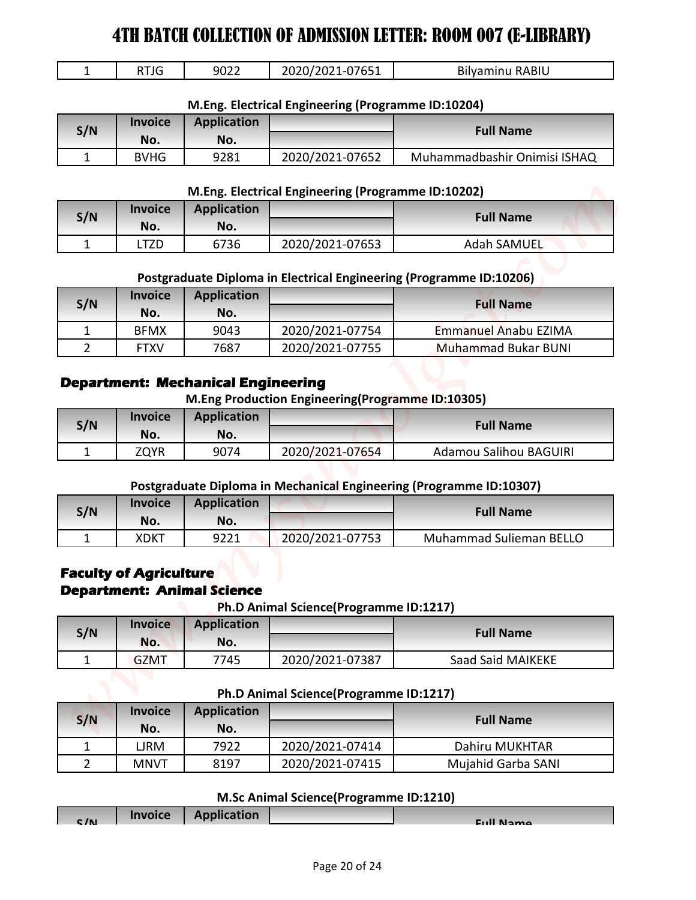|  | RTJG | 9022 | 2020/2021-07651 | <b>Bilyaminu RABIU</b> |
|--|------|------|-----------------|------------------------|
|--|------|------|-----------------|------------------------|

#### **M.Eng. Electrical Engineering (Programme ID:10204)**

| S/N | <b>Invoice</b> | <b>Application</b> |                 | <b>Full Name</b>             |
|-----|----------------|--------------------|-----------------|------------------------------|
|     | No.            | No.                |                 |                              |
|     | <b>BVHG</b>    | 9281               | 2020/2021-07652 | Muhammadbashir Onimisi ISHAQ |

#### **M.Eng. Electrical Engineering (Programme ID:10202)**

| S/N | <b>Invoice</b> | <b>Application</b> |                 | <b>Full Name</b> |
|-----|----------------|--------------------|-----------------|------------------|
|     | No.            | No.                |                 |                  |
|     | TZD            | 6736               | 2020/2021-07653 | Adah SAMUEL      |

#### **Postgraduate Diploma in Electrical Engineering (Programme ID:10206)**

| S/N | <b>Invoice</b><br>No. | <b>Application</b><br>No. |                 | <b>Full Name</b>           |
|-----|-----------------------|---------------------------|-----------------|----------------------------|
|     | <b>BFMX</b>           | 9043                      | 2020/2021-07754 | Emmanuel Anabu EZIMA       |
|     | <b>FTXV</b>           | 7687                      | 2020/2021-07755 | <b>Muhammad Bukar BUNI</b> |

### **Department: Mechanical Engineering**

#### **M.Eng Production Engineering(Programme ID:10305)**

| S/N | <b>Invoice</b><br>No. | <b>Application</b><br>No. |                 | <b>Full Name</b>       |
|-----|-----------------------|---------------------------|-----------------|------------------------|
|     | ZQYR                  | 9074                      | 2020/2021-07654 | Adamou Salihou BAGUIRI |

#### **Postgraduate Diploma in Mechanical Engineering (Programme ID:10307)**

| S/N | <b>Invoice</b> | <b>Application</b> |                 | <b>Full Name</b>               |
|-----|----------------|--------------------|-----------------|--------------------------------|
|     | No.            | No.                |                 |                                |
|     | XDKT           | 9221               | 2020/2021-07753 | <b>Muhammad Sulieman BELLO</b> |

### **Faculty of Agriculture Department: Animal Science**

#### **Ph.D Animal Science(Programme ID:1217)**

| S/N | <b>Invoice</b><br>No. | <b>Application</b><br>No. |                 | <b>Full Name</b>  |
|-----|-----------------------|---------------------------|-----------------|-------------------|
|     | <b>GZMT</b>           | 7745                      | 2020/2021-07387 | Saad Said MAIKEKE |

#### **Ph.D Animal Science(Programme ID:1217)**

| $\mathbf{1}$                                                       | <b>RTJG</b>    | 9022               | 2020/2021-07651                                    | <b>Bilyaminu RABIU</b>                                              |
|--------------------------------------------------------------------|----------------|--------------------|----------------------------------------------------|---------------------------------------------------------------------|
|                                                                    |                |                    | M.Eng. Electrical Engineering (Programme ID:10204) |                                                                     |
|                                                                    | <b>Invoice</b> | <b>Application</b> |                                                    |                                                                     |
| S/N                                                                | No.            | No.                |                                                    | <b>Full Name</b>                                                    |
| $\mathbf{1}$                                                       | <b>BVHG</b>    | 9281               | 2020/2021-07652                                    | Muhammadbashir Onimisi ISHAQ                                        |
|                                                                    |                |                    |                                                    |                                                                     |
|                                                                    | <b>Invoice</b> | <b>Application</b> | M.Eng. Electrical Engineering (Programme ID:10202) |                                                                     |
| S/N                                                                | No.            | No.                |                                                    | <b>Full Name</b>                                                    |
| $\mathbf{1}$                                                       | <b>LTZD</b>    | 6736               | 2020/2021-07653                                    | <b>Adah SAMUEL</b>                                                  |
|                                                                    |                |                    |                                                    |                                                                     |
|                                                                    |                |                    |                                                    | Postgraduate Diploma in Electrical Engineering (Programme ID:10206) |
| S/N                                                                | <b>Invoice</b> | <b>Application</b> |                                                    | <b>Full Name</b>                                                    |
|                                                                    | No.            | No.                |                                                    |                                                                     |
| 1                                                                  | <b>BFMX</b>    | 9043               | 2020/2021-07754                                    | Emmanuel Anabu EZIMA                                                |
| $\overline{2}$                                                     | <b>FTXV</b>    | 7687               | 2020/2021-07755                                    | <b>Muhammad Bukar BUNI</b>                                          |
| S/N                                                                | No.            | No.                |                                                    | <b>Full Name</b>                                                    |
| $\mathbf{1}$                                                       | <b>ZQYR</b>    | 9074               | 2020/2021-07654                                    | <b>Adamou Salihou BAGUIRI</b>                                       |
|                                                                    |                |                    |                                                    | Postgraduate Diploma in Mechanical Engineering (Programme ID:10307) |
|                                                                    | <b>Invoice</b> | <b>Application</b> |                                                    |                                                                     |
| S/N                                                                | No.            | No.                |                                                    | <b>Full Name</b>                                                    |
| $\mathbf{1}$                                                       | <b>XDKT</b>    | 9221               | 2020/2021-07753                                    | Muhammad Sulieman BELLO                                             |
|                                                                    |                |                    |                                                    |                                                                     |
| <b>Faculty of Agriculture</b><br><b>Department: Animal Science</b> | <b>Invoice</b> | <b>Application</b> | Ph.D Animal Science(Programme ID:1217)             |                                                                     |
| S/N                                                                | No.            | No.                |                                                    | <b>Full Name</b>                                                    |
| $\mathbf{1}$                                                       | <b>GZMT</b>    | 7745               | 2020/2021-07387                                    | Saad Said MAIKEKE                                                   |
|                                                                    |                |                    | Ph.D Animal Science(Programme ID:1217)             |                                                                     |
|                                                                    | <b>Invoice</b> | <b>Application</b> |                                                    |                                                                     |
| S/N                                                                | No.            | No.                |                                                    | <b>Full Name</b>                                                    |
| 1                                                                  | <b>LJRM</b>    | 7922               | 2020/2021-07414                                    | Dahiru MUKHTAR                                                      |
| $\overline{2}$                                                     | <b>MNVT</b>    | 8197               | 2020/2021-07415                                    | Mujahid Garba SANI                                                  |
|                                                                    |                |                    | M.Sc Animal Science(Programme ID:1210)             |                                                                     |

#### **M.Sc Animal Science(Programme ID:1210)**

| C/N | <b>Invoice</b> | <b>Application</b> | <b>Euli Name</b> |
|-----|----------------|--------------------|------------------|
|     |                |                    |                  |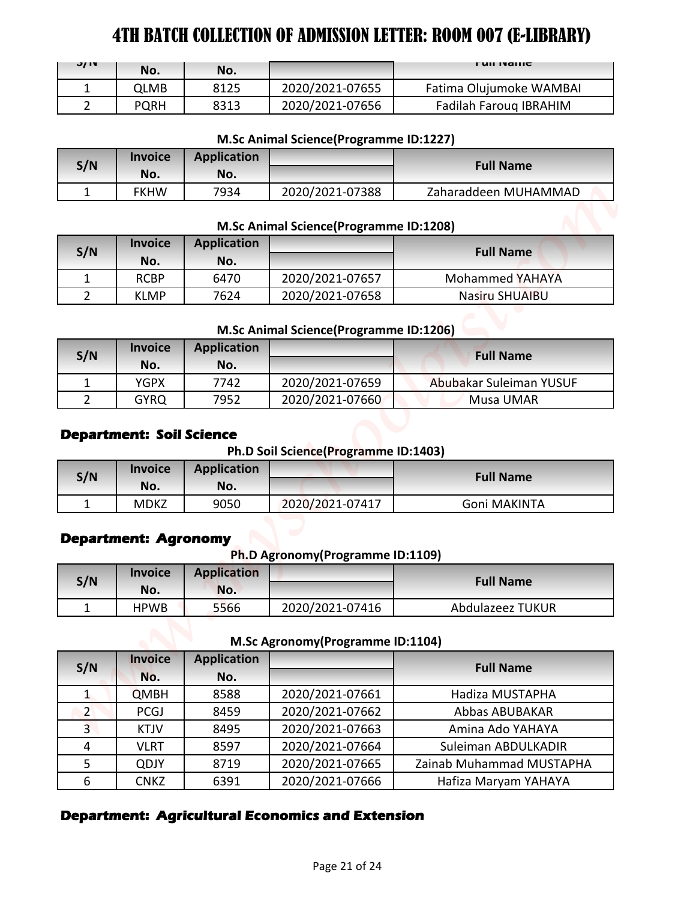| JIV | No.  | No.  |                 | <b>FUILIVALLIC</b>      |
|-----|------|------|-----------------|-------------------------|
|     | QLMB | 8125 | 2020/2021-07655 | Fatima Olujumoke WAMBAI |
|     | PQRH | 8313 | 2020/2021-07656 | Fadilah Faroug IBRAHIM  |

#### **M.Sc Animal Science(Programme ID:1227)**

| S/N | <b>Invoice</b><br>No. | <b>Application</b><br>No. |                 | <b>Full Name</b>     |
|-----|-----------------------|---------------------------|-----------------|----------------------|
|     | <b>FKHW</b>           | 7934                      | 2020/2021-07388 | Zaharaddeen MUHAMMAD |

#### **M.Sc Animal Science(Programme ID:1208)**

| S/N | <b>Invoice</b><br>No. | <b>Application</b><br>No. |                 | <b>Full Name</b>       |
|-----|-----------------------|---------------------------|-----------------|------------------------|
|     | <b>RCBP</b>           | 6470                      | 2020/2021-07657 | <b>Mohammed YAHAYA</b> |
|     | <b>KLMP</b>           | 7624                      | 2020/2021-07658 | Nasiru SHUAIBU         |

# **M.Sc Animal Science(Programme ID:1206)**

| S/N | <b>Invoice</b><br>No. | <b>Application</b><br>No. |                 | <b>Full Name</b>        |
|-----|-----------------------|---------------------------|-----------------|-------------------------|
|     | YGPX                  | 7742                      | 2020/2021-07659 | Abubakar Suleiman YUSUF |
|     | <b>GYRQ</b>           | 7952                      | 2020/2021-07660 | Musa UMAR               |

#### **Department: Soil Science**

**Ph.D Soil Science(Programme ID:1403)**

| S/N | <b>Invoice</b><br>No. | Application<br>No. |                 | <b>Full Name</b> |
|-----|-----------------------|--------------------|-----------------|------------------|
|     | <b>MDKZ</b>           | 9050               | 2020/2021-07417 | Goni MAKINTA     |

#### **Department: Agronomy**

**Ph.D Agronomy(Programme ID:1109)**

| S/N | <b>Invoice</b><br>No. | <b>Application</b><br>No. |                 | <b>Full Name</b> |
|-----|-----------------------|---------------------------|-----------------|------------------|
|     | <b>HPWB</b>           | 5566                      | 2020/2021-07416 | Abdulazeez TUKUR |

**M.Sc Agronomy(Programme ID:1104)**

| J/ IV          | No.                                            | No.                       |                                                      | <b>FUILIVAILE</b>        |
|----------------|------------------------------------------------|---------------------------|------------------------------------------------------|--------------------------|
| $\mathbf{1}$   | <b>QLMB</b>                                    | 8125                      | 2020/2021-07655                                      | Fatima Olujumoke WAMBAI  |
| $\overline{2}$ | <b>PQRH</b>                                    | 8313                      | 2020/2021-07656                                      | Fadilah Farouq IBRAHIM   |
|                |                                                |                           | M.Sc Animal Science(Programme ID:1227)               |                          |
|                | <b>Invoice</b>                                 | <b>Application</b>        |                                                      |                          |
| S/N            | No.                                            | No.                       |                                                      | <b>Full Name</b>         |
| $\mathbf{1}$   | <b>FKHW</b>                                    | 7934                      | 2020/2021-07388                                      | Zaharaddeen MUHAMMAD     |
|                |                                                |                           | M.Sc Animal Science(Programme ID:1208)               |                          |
| S/N            | <b>Invoice</b>                                 | <b>Application</b>        |                                                      | <b>Full Name</b>         |
|                | No.                                            | No.                       |                                                      |                          |
| $\mathbf{1}$   | <b>RCBP</b>                                    | 6470                      | 2020/2021-07657                                      | Mohammed YAHAYA          |
| $\overline{2}$ | <b>KLMP</b>                                    | 7624                      | 2020/2021-07658                                      | Nasiru SHUAIBU           |
|                |                                                |                           | M.Sc Animal Science(Programme ID:1206)               |                          |
|                |                                                | <b>Application</b>        |                                                      |                          |
|                | <b>Invoice</b>                                 |                           |                                                      |                          |
|                | No.                                            | No.                       |                                                      | <b>Full Name</b>         |
| S/N<br>1       | <b>YGPX</b>                                    | 7742                      | 2020/2021-07659                                      | Abubakar Suleiman YUSUF  |
| $\overline{2}$ | <b>GYRQ</b><br><b>Department: Soil Science</b> | 7952                      | 2020/2021-07660                                      | Musa UMAR                |
| S/N            | <b>Invoice</b><br>No.                          | <b>Application</b><br>No. | Ph.D Soil Science(Programme ID:1403)                 | <b>Full Name</b>         |
| $\mathbf{1}$   | <b>MDKZ</b>                                    | 9050                      | 2020/2021-07417                                      | Goni MAKINTA             |
|                | <b>Department: Agronomy</b>                    |                           | Ph.D Agronomy (Programme ID:1109)                    |                          |
| S/N            | <b>Invoice</b>                                 | <b>Application</b>        |                                                      | <b>Full Name</b>         |
|                | No.                                            | No.                       |                                                      |                          |
| $\mathbf{1}$   | <b>HPWB</b>                                    | 5566                      | 2020/2021-07416<br>M.Sc Agronomy (Programme ID:1104) | Abdulazeez TUKUR         |
| S/N            | <b>Invoice</b><br>No.                          | <b>Application</b><br>No. |                                                      | <b>Full Name</b>         |
| $\mathbf{1}$   | <b>QMBH</b>                                    | 8588                      | 2020/2021-07661                                      | Hadiza MUSTAPHA          |
| 2              | <b>PCGJ</b>                                    | 8459                      | 2020/2021-07662                                      | Abbas ABUBAKAR           |
| 3 <sup>1</sup> | <b>KTJV</b>                                    | 8495                      | 2020/2021-07663                                      | Amina Ado YAHAYA         |
| 4              | <b>VLRT</b>                                    | 8597                      | 2020/2021-07664                                      | Suleiman ABDULKADIR      |
| 5              | <b>QDJY</b>                                    | 8719                      | 2020/2021-07665                                      | Zainab Muhammad MUSTAPHA |

# **Department: Agricultural Economics and Extension**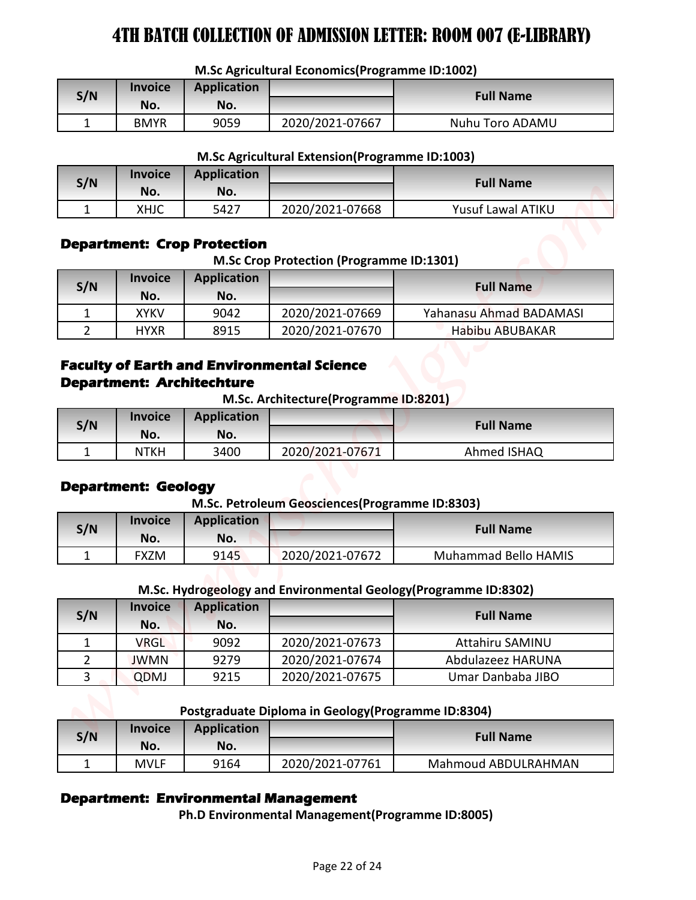**M.Sc Agricultural Economics(Programme ID:1002)**

| S/N | <b>Invoice</b><br>No. | Application<br>No. |                 | <b>Full Name</b> |
|-----|-----------------------|--------------------|-----------------|------------------|
|     |                       |                    |                 |                  |
|     | <b>BMYR</b>           | 9059               | 2020/2021-07667 | Nuhu Toro ADAMU  |

#### **M.Sc Agricultural Extension(Programme ID:1003)**

| S/N | <i><b>Invoice</b></i><br>No. | Application<br>No. |                 | <b>Full Name</b>  |
|-----|------------------------------|--------------------|-----------------|-------------------|
|     | <b>XHJC</b>                  | 5427               | 2020/2021-07668 | Yusuf Lawal ATIKU |

### **Department: Crop Protection**

**M.Sc Crop Protection (Programme ID:1301)**

| S/N | <b>Invoice</b><br>No. | <b>Application</b><br>No. |                 | <b>Full Name</b>        |
|-----|-----------------------|---------------------------|-----------------|-------------------------|
|     | <b>XYKV</b>           | 9042                      | 2020/2021-07669 | Yahanasu Ahmad BADAMASI |
|     | <b>HYXR</b>           | 8915                      | 2020/2021-07670 | <b>Habibu ABUBAKAR</b>  |

# **Faculty of Earth and Environmental Science Department: Architechture**

**M.Sc. Architecture(Programme ID:8201)**

| S/N | <b>Invoice</b><br>No. | <b>Application</b><br>No. |                 | <b>Full Name</b> |
|-----|-----------------------|---------------------------|-----------------|------------------|
|     | <b>NTKH</b>           | 3400                      | 2020/2021-07671 | Ahmed ISHAQ      |

### **Department: Geology**

#### **M.Sc. Petroleum Geosciences(Programme ID:8303)**

| S/N | <b>Invoice</b><br>No. | <b>Application</b><br>No. |                 | <b>Full Name</b>     |
|-----|-----------------------|---------------------------|-----------------|----------------------|
|     | FXZM                  | 9145                      | 2020/2021-07672 | Muhammad Bello HAMIS |

#### **M.Sc. Hydrogeology and Environmental Geology(Programme ID:8302)**

|                                                   |                                  |                                                          | M.Sc Agricultural Economics (Programme ID:1002)     |                                                                                      |
|---------------------------------------------------|----------------------------------|----------------------------------------------------------|-----------------------------------------------------|--------------------------------------------------------------------------------------|
| S/N                                               | <b>Invoice</b>                   | <b>Application</b>                                       |                                                     | <b>Full Name</b>                                                                     |
|                                                   | No.                              | No.                                                      |                                                     |                                                                                      |
| $\mathbf{1}$                                      | <b>BMYR</b>                      | 9059                                                     | 2020/2021-07667                                     | Nuhu Toro ADAMU                                                                      |
|                                                   |                                  |                                                          | M.Sc Agricultural Extension(Programme ID:1003)      |                                                                                      |
|                                                   | <b>Invoice</b>                   | <b>Application</b>                                       |                                                     |                                                                                      |
| S/N                                               | No.                              | No.                                                      |                                                     | <b>Full Name</b>                                                                     |
| 1                                                 | <b>XHJC</b>                      | 5427                                                     | 2020/2021-07668                                     | Yusuf Lawal ATIKU                                                                    |
|                                                   | <b>Invoice</b>                   | <b>Department: Crop Protection</b><br><b>Application</b> | <b>M.Sc Crop Protection (Programme ID:1301)</b>     |                                                                                      |
| S/N                                               | No.                              | No.                                                      |                                                     | <b>Full Name</b>                                                                     |
| $\mathbf{1}$                                      | <b>XYKV</b>                      | 9042                                                     | 2020/2021-07669                                     | Yahanasu Ahmad BADAMASI                                                              |
| $\overline{2}$                                    | <b>HYXR</b>                      | 8915                                                     | 2020/2021-07670                                     | <b>Habibu ABUBAKAR</b>                                                               |
| <b>Faculty of Earth and Environmental Science</b> | <b>Department: Architechture</b> |                                                          | M.Sc. Architecture(Programme ID:8201)               |                                                                                      |
| S/N                                               | <b>Invoice</b><br>No.            | <b>Application</b><br>No.                                |                                                     | <b>Full Name</b>                                                                     |
| $\mathbf 1$                                       | <b>NTKH</b>                      | 3400                                                     | 2020/2021-07671                                     | Ahmed ISHAQ                                                                          |
|                                                   | <b>Department: Geology</b>       |                                                          | M.Sc. Petroleum Geosciences (Programme ID:8303)     |                                                                                      |
|                                                   | <b>Invoice</b>                   | <b>Application</b>                                       |                                                     |                                                                                      |
| S/N                                               | No.                              | No.                                                      |                                                     | <b>Full Name</b>                                                                     |
| 1                                                 | <b>FXZM</b>                      | 9145                                                     | 2020/2021-07672                                     | Muhammad Bello HAMIS                                                                 |
|                                                   |                                  |                                                          |                                                     |                                                                                      |
|                                                   | <b>Invoice</b>                   | <b>Application</b>                                       |                                                     | M.Sc. Hydrogeology and Environmental Geology (Programme ID:8302)<br><b>Full Name</b> |
| S/N                                               | No.                              | No.                                                      |                                                     |                                                                                      |
| $\mathbf{1}$                                      | <b>VRGL</b>                      | 9092                                                     | 2020/2021-07673                                     | Attahiru SAMINU                                                                      |
| $\overline{2}$                                    | <b>JWMN</b>                      | 9279                                                     | 2020/2021-07674                                     | Abdulazeez HARUNA                                                                    |
| 3                                                 | QDMJ                             | 9215                                                     | 2020/2021-07675                                     | Umar Danbaba JIBO                                                                    |
|                                                   |                                  |                                                          | Postgraduate Diploma in Geology (Programme ID:8304) |                                                                                      |
|                                                   | <b>Invoice</b>                   | <b>Application</b>                                       |                                                     |                                                                                      |
| S/N                                               | No.                              | No.                                                      |                                                     | <b>Full Name</b>                                                                     |

#### **Postgraduate Diploma in Geology(Programme ID:8304)**

| S/N | <b>Invoice</b><br>No. | <b>Application</b><br>No. |                 | <b>Full Name</b>    |
|-----|-----------------------|---------------------------|-----------------|---------------------|
|     | <b>MVLF</b>           | 9164                      | 2020/2021-07761 | Mahmoud ABDULRAHMAN |

### **Department: Environmental Management**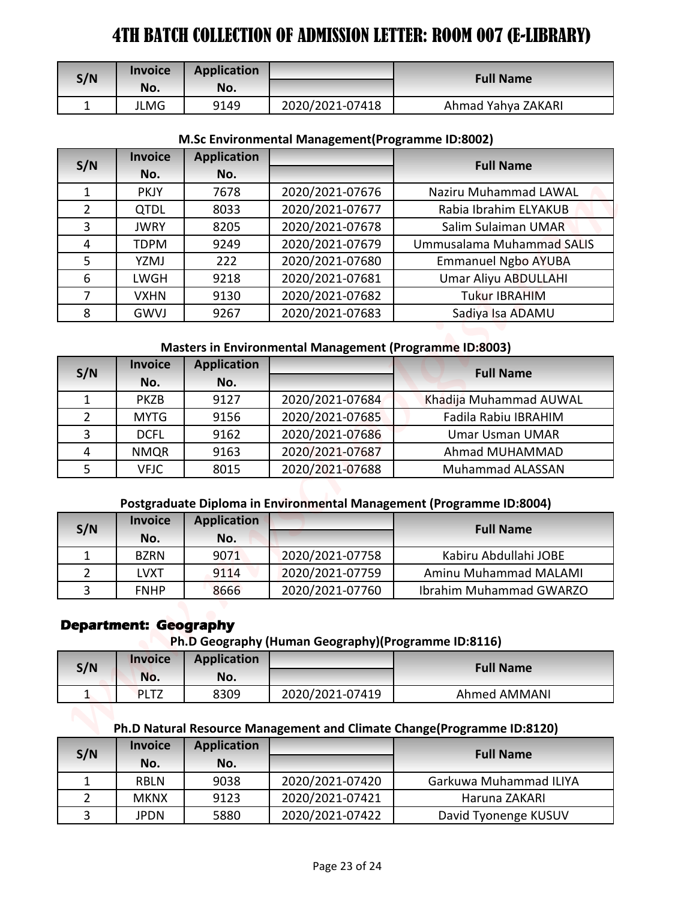| S/N | <b>Invoice</b><br>No. | <b>Application</b><br>No. |                 | <b>Full Name</b>   |
|-----|-----------------------|---------------------------|-----------------|--------------------|
|     | JLMG                  | 9149                      | 2020/2021-07418 | Ahmad Yahya ZAKARI |

#### **M.Sc Environmental Management(Programme ID:8002)**

|                         | <b>Invoice</b>                                 | <b>Application</b>        |                                                                |                                                                        |
|-------------------------|------------------------------------------------|---------------------------|----------------------------------------------------------------|------------------------------------------------------------------------|
| S/N                     | No.                                            | No.                       |                                                                | <b>Full Name</b>                                                       |
| $\mathbf{1}$            | <b>JLMG</b>                                    | 9149                      | 2020/2021-07418                                                | Ahmad Yahya ZAKARI                                                     |
|                         |                                                |                           |                                                                |                                                                        |
|                         | <b>Invoice</b>                                 | <b>Application</b>        | M.Sc Environmental Management (Programme ID:8002)              |                                                                        |
| S/N                     | No.                                            | No.                       |                                                                | <b>Full Name</b>                                                       |
| $\mathbf{1}$            | <b>PKJY</b>                                    | 7678                      | 2020/2021-07676                                                | <b>Naziru Muhammad LAWAL</b>                                           |
| $\overline{2}$          | <b>QTDL</b>                                    | 8033                      | 2020/2021-07677                                                | Rabia Ibrahim ELYAKUB                                                  |
| 3                       | <b>JWRY</b>                                    | 8205                      | 2020/2021-07678                                                | Salim Sulaiman UMAR                                                    |
| $\overline{\mathbf{4}}$ | <b>TDPM</b>                                    | 9249                      | 2020/2021-07679                                                | Ummusalama Muhammad SALIS                                              |
| 5                       | YZMJ                                           | 222                       | 2020/2021-07680                                                | <b>Emmanuel Ngbo AYUBA</b>                                             |
| 6                       | LWGH                                           | 9218                      | 2020/2021-07681                                                | Umar Aliyu ABDULLAHI                                                   |
| 7                       | <b>VXHN</b>                                    | 9130                      | 2020/2021-07682                                                | Tukur IBRAHIM                                                          |
| 8                       | GWVJ                                           | 9267                      | 2020/2021-07683                                                | Sadiya Isa ADAMU                                                       |
|                         |                                                |                           |                                                                |                                                                        |
|                         |                                                |                           | <b>Masters in Environmental Management (Programme ID:8003)</b> |                                                                        |
| S/N                     | <b>Invoice</b><br>No.                          | <b>Application</b><br>No. |                                                                | <b>Full Name</b>                                                       |
| $\mathbf{1}$            | <b>PKZB</b>                                    | 9127                      | 2020/2021-07684                                                | Khadija Muhammad AUWAL                                                 |
| $\overline{2}$          | <b>MYTG</b>                                    | 9156                      | 2020/2021-07685                                                | Fadila Rabiu IBRAHIM                                                   |
| 3                       | <b>DCFL</b>                                    | 9162                      | 2020/2021-07686                                                | <b>Umar Usman UMAR</b>                                                 |
| 4                       | <b>NMQR</b>                                    | 9163                      | 2020/2021-07687                                                | Ahmad MUHAMMAD                                                         |
| 5                       | <b>VFJC</b>                                    | 8015                      | 2020/2021-07688                                                | <b>Muhammad ALASSAN</b>                                                |
|                         |                                                |                           |                                                                | Postgraduate Diploma in Environmental Management (Programme ID:8004)   |
|                         | <b>Invoice</b>                                 | <b>Application</b>        |                                                                |                                                                        |
| S/N                     | No.                                            | No.                       |                                                                | <b>Full Name</b>                                                       |
| 1                       | <b>BZRN</b>                                    | 9071                      | 2020/2021-07758                                                | Kabiru Abdullahi JOBE                                                  |
| $\overline{2}$          | <b>LVXT</b>                                    | 9114                      | 2020/2021-07759                                                | Aminu Muhammad MALAMI                                                  |
| 3                       | <b>FNHP</b>                                    | 8666                      | 2020/2021-07760                                                | Ibrahim Muhammad GWARZO                                                |
|                         | <b>Department: Geography</b><br><b>Invoice</b> | <b>Application</b>        | Ph.D Geography (Human Geography)(Programme ID:8116)            |                                                                        |
| S/N                     | No.                                            | No.                       |                                                                | <b>Full Name</b>                                                       |
| $\mathbf{1}$            | <b>PLTZ</b>                                    | 8309                      | 2020/2021-07419                                                | Ahmed AMMANI                                                           |
|                         |                                                |                           |                                                                | Ph.D Natural Resource Management and Climate Change(Programme ID:8120) |
|                         | <b>Invoice</b>                                 | <b>Application</b>        |                                                                |                                                                        |
| S/N                     | No.                                            | No.                       |                                                                | <b>Full Name</b>                                                       |
|                         | <b>RBLN</b>                                    | 9038                      | 2020/2021-07420                                                | Garkuwa Muhammad ILIYA                                                 |
| 1                       |                                                |                           |                                                                |                                                                        |
| $\overline{2}$          | <b>MKNX</b>                                    | 9123                      | 2020/2021-07421                                                | Haruna ZAKARI                                                          |

# **Masters in Environmental Management (Programme ID:8003)**

| S/N          | <b>Invoice</b> | <b>Application</b> |                 | <b>Full Name</b>       |
|--------------|----------------|--------------------|-----------------|------------------------|
|              | No.            | No.                |                 |                        |
|              | <b>PKZB</b>    | 9127               | 2020/2021-07684 | Khadija Muhammad AUWAL |
| $\mathbf{2}$ | <b>MYTG</b>    | 9156               | 2020/2021-07685 | Fadila Rabiu IBRAHIM   |
| 3            | <b>DCFL</b>    | 9162               | 2020/2021-07686 | <b>Umar Usman UMAR</b> |
| 4            | <b>NMQR</b>    | 9163               | 2020/2021-07687 | Ahmad MUHAMMAD         |
|              | <b>VFJC</b>    | 8015               | 2020/2021-07688 | Muhammad ALASSAN       |

### **Postgraduate Diploma in Environmental Management (Programme ID:8004)**

| S/N | <b>Invoice</b><br>No. | <b>Application</b><br>No. |                 | <b>Full Name</b>        |
|-----|-----------------------|---------------------------|-----------------|-------------------------|
|     | <b>BZRN</b>           | 9071                      | 2020/2021-07758 | Kabiru Abdullahi JOBE   |
|     | LVXT                  | 9114                      | 2020/2021-07759 | Aminu Muhammad MALAMI   |
|     | <b>FNHP</b>           | 8666                      | 2020/2021-07760 | Ibrahim Muhammad GWARZO |

### **Department: Geography**

**Ph.D Geography (Human Geography)(Programme ID:8116)**

| S/N | <b>Invoice</b><br>No. | <b>Application</b><br>No. |                 | <b>Full Name</b> |
|-----|-----------------------|---------------------------|-----------------|------------------|
|     | <b>PLTZ</b>           | 8309                      | 2020/2021-07419 | Ahmed AMMANI     |

# **Ph.D Natural Resource Management and Climate Change(Programme ID:8120)**

| S/N | <b>Invoice</b><br>No. | <b>Application</b><br>No. |                 | <b>Full Name</b>       |
|-----|-----------------------|---------------------------|-----------------|------------------------|
|     | <b>RBLN</b>           | 9038                      | 2020/2021-07420 | Garkuwa Muhammad ILIYA |
|     | <b>MKNX</b>           | 9123                      | 2020/2021-07421 | Haruna ZAKARI          |
| ર   | <b>JPDN</b>           | 5880                      | 2020/2021-07422 | David Tyonenge KUSUV   |